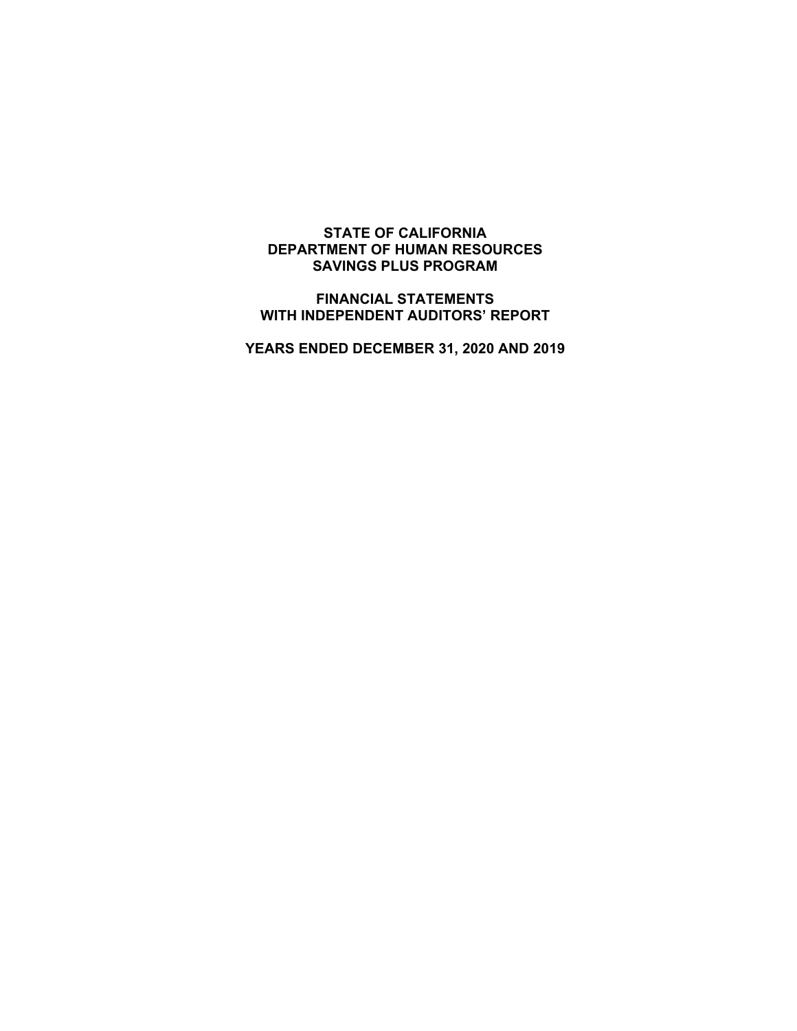# **STATE OF CALIFORNIA DEPARTMENT OF HUMAN RESOURCES SAVINGS PLUS PROGRAM**

# **FINANCIAL STATEMENTS WITH INDEPENDENT AUDITORS' REPORT**

**YEARS ENDED DECEMBER 31, 2020 AND 2019**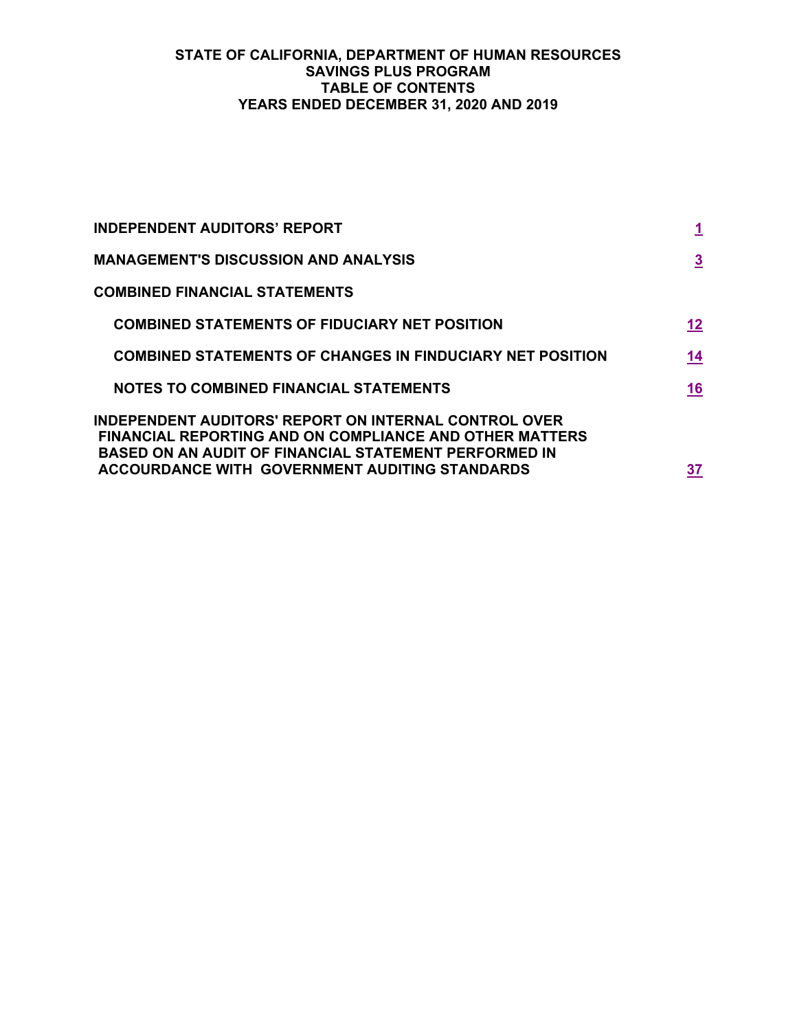# **STATE OF CALIFORNIA, DEPARTMENT OF HUMAN RESOURCES SAVINGS PLUS PROGRAM TABLE OF CONTENTS YEARS ENDED DECEMBER 31, 2020 AND 2019**

| <b>INDEPENDENT AUDITORS' REPORT</b>                                                                                                                                                                                                         |                |
|---------------------------------------------------------------------------------------------------------------------------------------------------------------------------------------------------------------------------------------------|----------------|
| <b>MANAGEMENT'S DISCUSSION AND ANALYSIS</b>                                                                                                                                                                                                 | $\overline{3}$ |
| <b>COMBINED FINANCIAL STATEMENTS</b>                                                                                                                                                                                                        |                |
| <b>COMBINED STATEMENTS OF FIDUCIARY NET POSITION</b>                                                                                                                                                                                        | <u>12</u>      |
| <b>COMBINED STATEMENTS OF CHANGES IN FINDUCIARY NET POSITION</b>                                                                                                                                                                            | <u>14</u>      |
| <b>NOTES TO COMBINED FINANCIAL STATEMENTS</b>                                                                                                                                                                                               | <u>16</u>      |
| <b>INDEPENDENT AUDITORS' REPORT ON INTERNAL CONTROL OVER</b><br><b>FINANCIAL REPORTING AND ON COMPLIANCE AND OTHER MATTERS</b><br><b>BASED ON AN AUDIT OF FINANCIAL STATEMENT PERFORMED IN</b><br>ACCOURDANCE WITH 29(510(178', 7,167\$'5'6 | <u>37</u>      |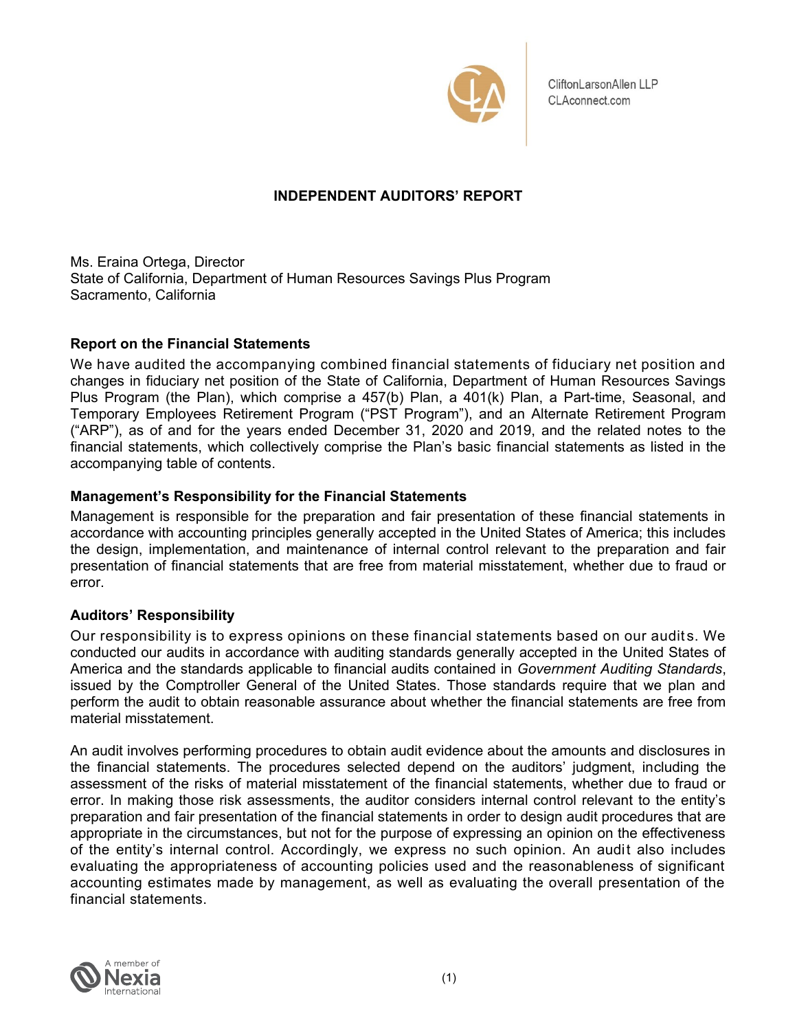

CliftonLarsonAllen LLP CLAconnect.com

# **INDEPENDENT AUDITORS' REPORT**

<span id="page-2-0"></span>Ms. Eraina Ortega, Director State of California, Department of Human Resources Savings Plus Program Sacramento, California

# **Report on the Financial Statements**

We have audited the accompanying combined financial statements of fiduciary net position and changes in fiduciary net position of the State of California, Department of Human Resources Savings Plus Program (the Plan), which comprise a 457(b) Plan, a 401(k) Plan, a Part-time, Seasonal, and Temporary Employees Retirement Program ("PST Program"), and an Alternate Retirement Program ("ARP"), as of and for the years ended December 31, 2020 and 2019, and the related notes to the financial statements, which collectively comprise the Plan's basic financial statements as listed in the accompanying table of contents.

# **Management's Responsibility for the Financial Statements**

Management is responsible for the preparation and fair presentation of these financial statements in accordance with accounting principles generally accepted in the United States of America; this includes the design, implementation, and maintenance of internal control relevant to the preparation and fair presentation of financial statements that are free from material misstatement, whether due to fraud or error.

# **Auditors' Responsibility**

Our responsibility is to express opinions on these financial statements based on our audits. We conducted our audits in accordance with auditing standards generally accepted in the United States of America and the standards applicable to financial audits contained in *Government Auditing Standards*, issued by the Comptroller General of the United States. Those standards require that we plan and perform the audit to obtain reasonable assurance about whether the financial statements are free from material misstatement.

An audit involves performing procedures to obtain audit evidence about the amounts and disclosures in the financial statements. The procedures selected depend on the auditors' judgment, including the assessment of the risks of material misstatement of the financial statements, whether due to fraud or error. In making those risk assessments, the auditor considers internal control relevant to the entity's preparation and fair presentation of the financial statements in order to design audit procedures that are appropriate in the circumstances, but not for the purpose of expressing an opinion on the effectiveness of the entity's internal control. Accordingly, we express no such opinion. An audit also includes evaluating the appropriateness of accounting policies used and the reasonableness of significant accounting estimates made by management, as well as evaluating the overall presentation of the financial statements.

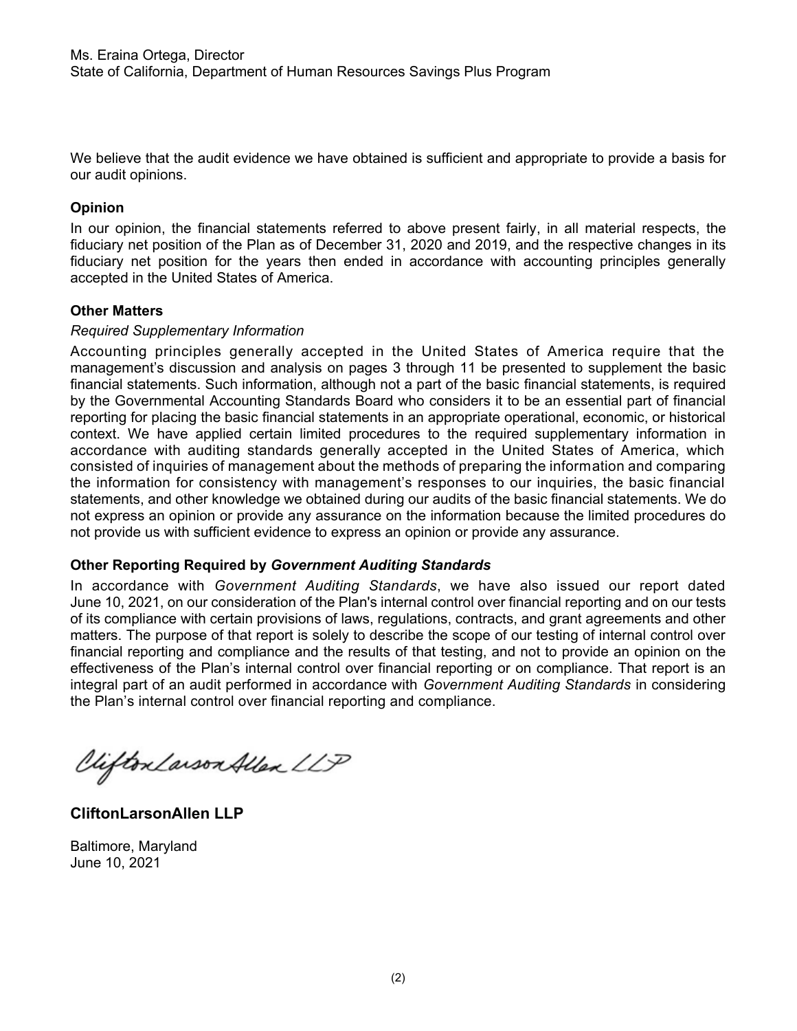We believe that the audit evidence we have obtained is sufficient and appropriate to provide a basis for our audit opinions.

# **Opinion**

In our opinion, the financial statements referred to above present fairly, in all material respects, the fiduciary net position of the Plan as of December 31, 2020 and 2019, and the respective changes in its fiduciary net position for the years then ended in accordance with accounting principles generally accepted in the United States of America.

# **Other Matters**

# *Required Supplementary Information*

Accounting principles generally accepted in the United States of America require that the management's discussion and analysis on pages 3 through 11 be presented to supplement the basic financial statements. Such information, although not a part of the basic financial statements, is required by the Governmental Accounting Standards Board who considers it to be an essential part of financial reporting for placing the basic financial statements in an appropriate operational, economic, or historical context. We have applied certain limited procedures to the required supplementary information in accordance with auditing standards generally accepted in the United States of America, which consisted of inquiries of management about the methods of preparing the information and comparing the information for consistency with management's responses to our inquiries, the basic financial statements, and other knowledge we obtained during our audits of the basic financial statements. We do not express an opinion or provide any assurance on the information because the limited procedures do not provide us with sufficient evidence to express an opinion or provide any assurance.

# **Other Reporting Required by** *Government Auditing Standards*

In accordance with *Government Auditing Standards*, we have also issued our report dated June 10, 2021, on our consideration of the Plan's internal control over financial reporting and on our tests of its compliance with certain provisions of laws, regulations, contracts, and grant agreements and other matters. The purpose of that report is solely to describe the scope of our testing of internal control over financial reporting and compliance and the results of that testing, and not to provide an opinion on the effectiveness of the Plan's internal control over financial reporting or on compliance. That report is an integral part of an audit performed in accordance with *Government Auditing Standards* in considering the Plan's internal control over financial reporting and compliance.

Clifton Larson Allen LLP

**CliftonLarsonAllen LLP** 

Baltimore, Maryland June 10, 2021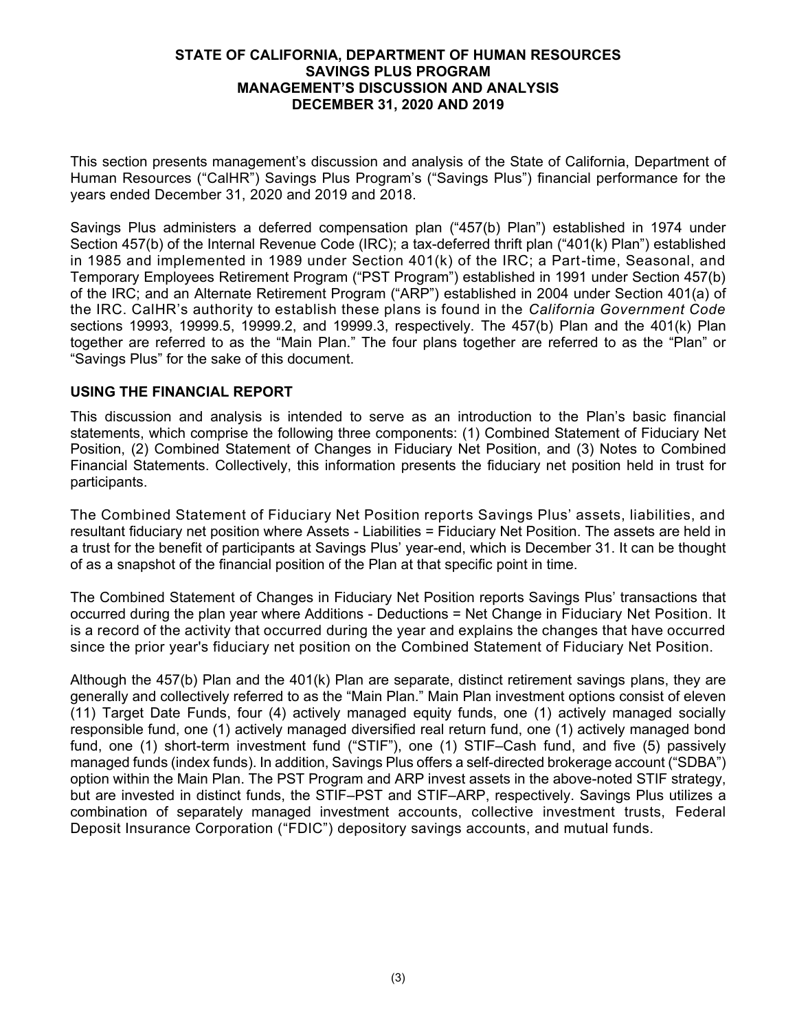<span id="page-4-0"></span>This section presents management's discussion and analysis of the State of California, Department of Human Resources ("CalHR") Savings Plus Program's ("Savings Plus") financial performance for the years ended December 31, 2020 and 2019 and 2018.

Savings Plus administers a deferred compensation plan ("457(b) Plan") established in 1974 under Section 457(b) of the Internal Revenue Code (IRC); a tax-deferred thrift plan ("401(k) Plan") established in 1985 and implemented in 1989 under Section 401(k) of the IRC; a Part-time, Seasonal, and Temporary Employees Retirement Program ("PST Program") established in 1991 under Section 457(b) of the IRC; and an Alternate Retirement Program ("ARP") established in 2004 under Section 401(a) of the IRC. CalHR's authority to establish these plans is found in the *California Government Code* sections 19993, 19999.5, 19999.2, and 19999.3, respectively. The 457(b) Plan and the 401(k) Plan together are referred to as the "Main Plan." The four plans together are referred to as the "Plan" or "Savings Plus" for the sake of this document.

# **USING THE FINANCIAL REPORT**

This discussion and analysis is intended to serve as an introduction to the Plan's basic financial statements, which comprise the following three components: (1) Combined Statement of Fiduciary Net Position, (2) Combined Statement of Changes in Fiduciary Net Position, and (3) Notes to Combined Financial Statements. Collectively, this information presents the fiduciary net position held in trust for participants.

The Combined Statement of Fiduciary Net Position reports Savings Plus' assets, liabilities, and resultant fiduciary net position where Assets - Liabilities = Fiduciary Net Position. The assets are held in a trust for the benefit of participants at Savings Plus' year-end, which is December 31. It can be thought of as a snapshot of the financial position of the Plan at that specific point in time.

The Combined Statement of Changes in Fiduciary Net Position reports Savings Plus' transactions that occurred during the plan year where Additions - Deductions = Net Change in Fiduciary Net Position. It is a record of the activity that occurred during the year and explains the changes that have occurred since the prior year's fiduciary net position on the Combined Statement of Fiduciary Net Position.

Although the 457(b) Plan and the 401(k) Plan are separate, distinct retirement savings plans, they are generally and collectively referred to as the "Main Plan." Main Plan investment options consist of eleven (11) Target Date Funds, four (4) actively managed equity funds, one (1) actively managed socially responsible fund, one (1) actively managed diversified real return fund, one (1) actively managed bond fund, one (1) short-term investment fund ("STIF"), one (1) STIF–Cash fund, and five (5) passively managed funds (index funds). In addition, Savings Plus offers a self-directed brokerage account ("SDBA") option within the Main Plan. The PST Program and ARP invest assets in the above-noted STIF strategy, but are invested in distinct funds, the STIF–PST and STIF–ARP, respectively. Savings Plus utilizes a combination of separately managed investment accounts, collective investment trusts, Federal Deposit Insurance Corporation ("FDIC") depository savings accounts, and mutual funds.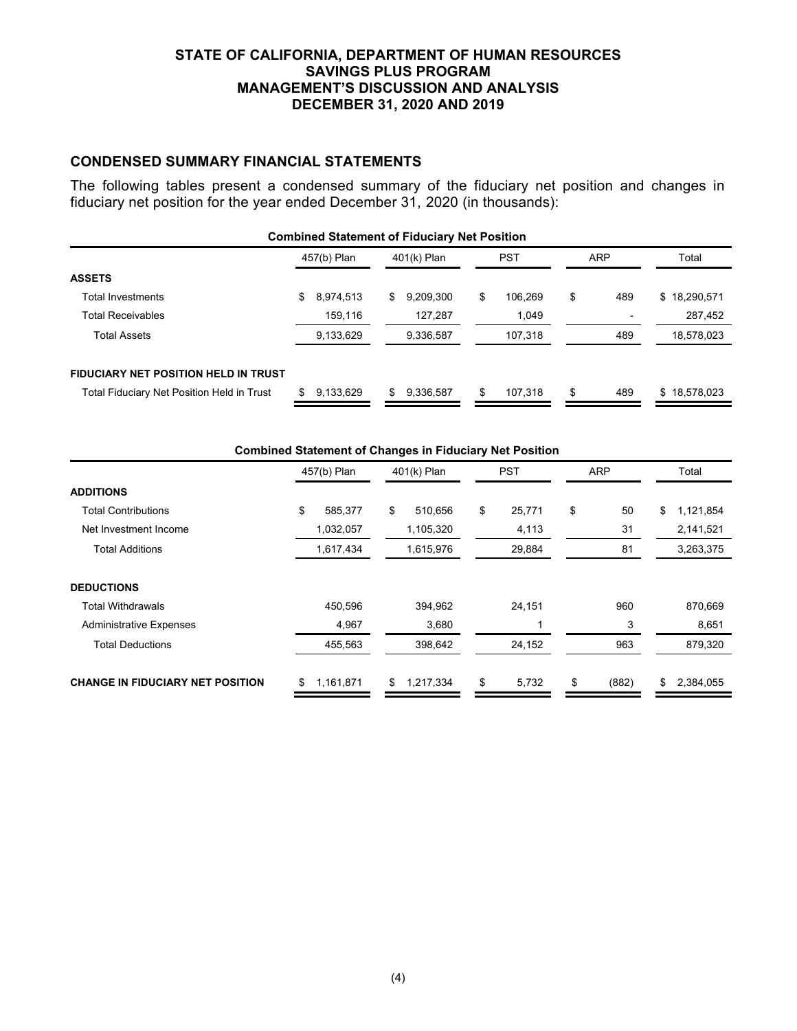# **CONDENSED SUMMARY FINANCIAL STATEMENTS**

The following tables present a condensed summary of the fiduciary net position and changes in fiduciary net position for the year ended December 31, 2020 (in thousands):

|                                             |    |             | <b>Combined Statement of Fiduciary Net Position</b> |               |                          |              |
|---------------------------------------------|----|-------------|-----------------------------------------------------|---------------|--------------------------|--------------|
|                                             |    | 457(b) Plan | 401(k) Plan                                         | <b>PST</b>    | ARP                      | Total        |
| <b>ASSETS</b>                               |    |             |                                                     |               |                          |              |
| <b>Total Investments</b>                    | \$ | 8,974,513   | \$<br>9,209,300                                     | \$<br>106.269 | \$<br>489                | \$18,290,571 |
| <b>Total Receivables</b>                    |    | 159,116     | 127,287                                             | 1,049         | $\overline{\phantom{0}}$ | 287,452      |
| <b>Total Assets</b>                         |    | 9,133,629   | 9,336,587                                           | 107,318       | 489                      | 18,578,023   |
| <b>FIDUCIARY NET POSITION HELD IN TRUST</b> |    |             |                                                     |               |                          |              |
| Total Fiduciary Net Position Held in Trust  | S  | 9,133,629   | \$<br>9,336,587                                     | \$<br>107,318 | \$<br>489                | \$18,578,023 |

**Combined Statement of Changes in Fiduciary Net Position**

|                                         | 457(b) Plan     | 401(k) Plan     | <b>PST</b>   | <b>ARP</b>  | Total           |
|-----------------------------------------|-----------------|-----------------|--------------|-------------|-----------------|
| <b>ADDITIONS</b>                        |                 |                 |              |             |                 |
| <b>Total Contributions</b>              | \$<br>585,377   | \$<br>510.656   | \$<br>25,771 | \$<br>50    | \$<br>1,121,854 |
| Net Investment Income                   | 1,032,057       | 1,105,320       | 4,113        | 31          | 2,141,521       |
| <b>Total Additions</b>                  | 1,617,434       | 1,615,976       | 29,884       | 81          | 3,263,375       |
| <b>DEDUCTIONS</b>                       |                 |                 |              |             |                 |
| <b>Total Withdrawals</b>                | 450.596         | 394,962         | 24,151       | 960         | 870,669         |
| <b>Administrative Expenses</b>          | 4,967           | 3,680           |              | 3           | 8,651           |
| <b>Total Deductions</b>                 | 455,563         | 398,642         | 24,152       | 963         | 879,320         |
| <b>CHANGE IN FIDUCIARY NET POSITION</b> | 1,161,871<br>\$ | 1,217,334<br>\$ | \$<br>5,732  | (882)<br>\$ | \$<br>2,384,055 |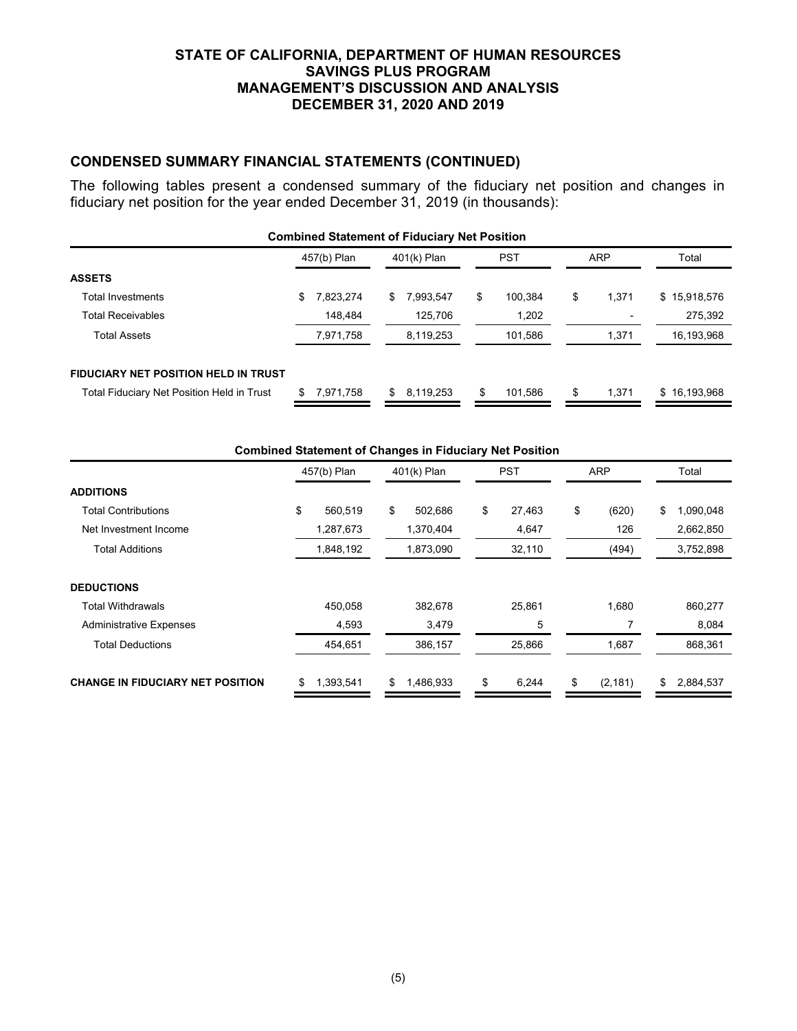# **CONDENSED SUMMARY FINANCIAL STATEMENTS (CONTINUED)**

The following tables present a condensed summary of the fiduciary net position and changes in fiduciary net position for the year ended December 31, 2019 (in thousands):

|                                             |    | <b>Combined Statement of Fiduciary Net Position</b> |    |               |               |                          |              |
|---------------------------------------------|----|-----------------------------------------------------|----|---------------|---------------|--------------------------|--------------|
|                                             |    | 457(b) Plan                                         |    | $401(k)$ Plan | <b>PST</b>    | <b>ARP</b>               | Total        |
| <b>ASSETS</b>                               |    |                                                     |    |               |               |                          |              |
| <b>Total Investments</b>                    | \$ | 7,823,274                                           | S  | 7,993,547     | \$<br>100.384 | \$<br>1.371              | \$15,918,576 |
| <b>Total Receivables</b>                    |    | 148,484                                             |    | 125.706       | 1,202         | $\overline{\phantom{0}}$ | 275,392      |
| <b>Total Assets</b>                         |    | 7,971,758                                           |    | 8,119,253     | 101,586       | 1.371                    | 16,193,968   |
| <b>FIDUCIARY NET POSITION HELD IN TRUST</b> |    |                                                     |    |               |               |                          |              |
| Total Fiduciary Net Position Held in Trust  | S. | 7,971,758                                           | \$ | 8,119,253     | \$<br>101,586 | \$<br>1,371              | \$16,193,968 |

**Combined Statement of Changes in Fiduciary Net Position**

|                                         | 457(b) Plan    | 401(k) Plan     | <b>PST</b>   | <b>ARP</b>     | Total           |
|-----------------------------------------|----------------|-----------------|--------------|----------------|-----------------|
| <b>ADDITIONS</b>                        |                |                 |              |                |                 |
| <b>Total Contributions</b>              | \$<br>560.519  | \$<br>502.686   | \$<br>27.463 | \$<br>(620)    | \$<br>1,090,048 |
| Net Investment Income                   | 1,287,673      | 1,370,404       | 4,647        | 126            | 2,662,850       |
| <b>Total Additions</b>                  | 1,848,192      | 1,873,090       | 32,110       | (494)          | 3,752,898       |
| <b>DEDUCTIONS</b>                       |                |                 |              |                |                 |
| <b>Total Withdrawals</b>                | 450,058        | 382,678         | 25,861       | 1,680          | 860,277         |
| <b>Administrative Expenses</b>          | 4,593          | 3,479           | 5            |                | 8,084           |
| <b>Total Deductions</b>                 | 454,651        | 386,157         | 25,866       | 1,687          | 868,361         |
| <b>CHANGE IN FIDUCIARY NET POSITION</b> | \$<br>.393,541 | 1,486,933<br>\$ | \$<br>6,244  | \$<br>(2, 181) | \$<br>2,884,537 |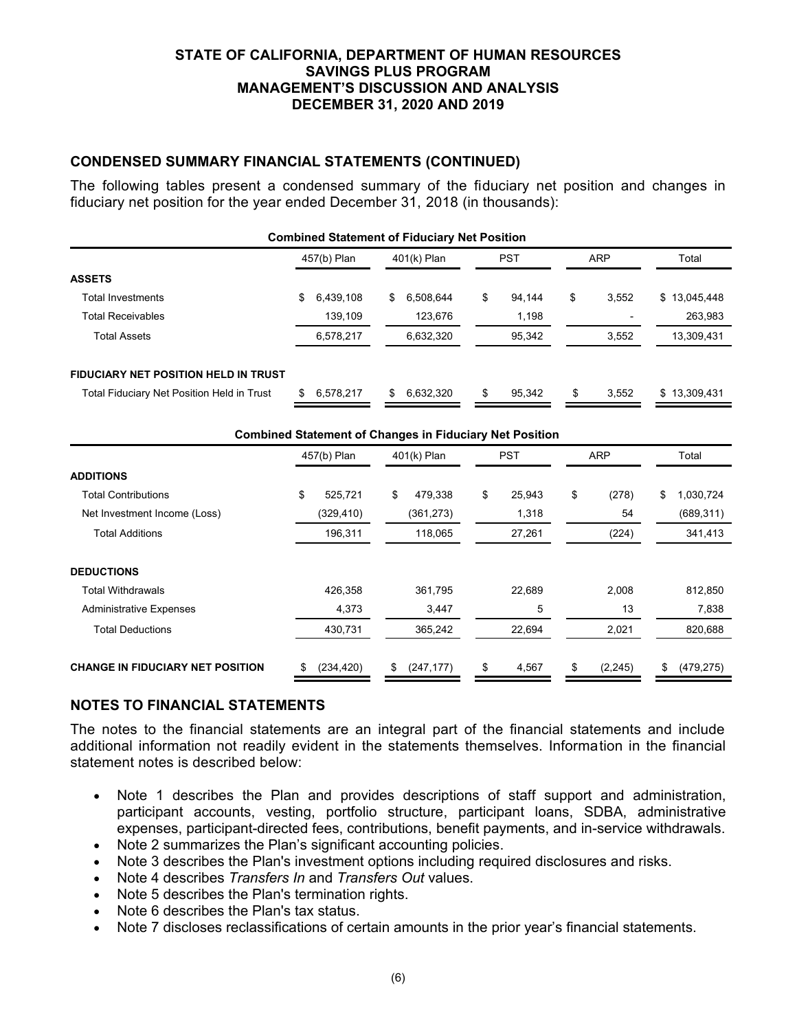# **CONDENSED SUMMARY FINANCIAL STATEMENTS (CONTINUED)**

The following tables present a condensed summary of the fiduciary net position and changes in fiduciary net position for the year ended December 31, 2018 (in thousands):

| <b>Combined Statement of Fiduciary Net Position</b> |                 |                 |              |                          |              |  |  |
|-----------------------------------------------------|-----------------|-----------------|--------------|--------------------------|--------------|--|--|
|                                                     | 457(b) Plan     | 401(k) Plan     | <b>PST</b>   | <b>ARP</b>               | Total        |  |  |
| <b>ASSETS</b>                                       |                 |                 |              |                          |              |  |  |
| <b>Total Investments</b>                            | \$<br>6,439,108 | 6,508,644<br>\$ | 94.144<br>\$ | \$<br>3.552              | \$13,045,448 |  |  |
| <b>Total Receivables</b>                            | 139.109         | 123,676         | 1,198        | $\overline{\phantom{0}}$ | 263,983      |  |  |
| <b>Total Assets</b>                                 | 6,578,217       | 6,632,320       | 95,342       | 3,552                    | 13,309,431   |  |  |
| <b>FIDUCIARY NET POSITION HELD IN TRUST</b>         |                 |                 |              |                          |              |  |  |
| Total Fiduciary Net Position Held in Trust          | 6.578.217<br>S. | 6.632.320<br>\$ | 95,342<br>\$ | 3.552<br>\$              | \$13,309,431 |  |  |

#### **Combined Statement of Changes in Fiduciary Net Position**

|                                         | 457(b) Plan     | 401(k) Plan      | <b>PST</b>   | <b>ARP</b>     | Total            |  |
|-----------------------------------------|-----------------|------------------|--------------|----------------|------------------|--|
| <b>ADDITIONS</b>                        |                 |                  |              |                |                  |  |
| <b>Total Contributions</b>              | \$<br>525,721   | \$<br>479,338    | \$<br>25,943 | \$<br>(278)    | \$<br>1,030,724  |  |
| Net Investment Income (Loss)            | (329,410)       | (361, 273)       | 1,318        | 54             | (689, 311)       |  |
| <b>Total Additions</b>                  | 196,311         | 118,065          | 27,261       | (224)          | 341,413          |  |
| <b>DEDUCTIONS</b>                       |                 |                  |              |                |                  |  |
| <b>Total Withdrawals</b>                | 426.358         | 361.795          | 22,689       | 2,008          | 812,850          |  |
| <b>Administrative Expenses</b>          | 4,373           | 3,447            | 5            | 13             | 7,838            |  |
| <b>Total Deductions</b>                 | 430,731         | 365,242          | 22,694       | 2,021          | 820,688          |  |
| <b>CHANGE IN FIDUCIARY NET POSITION</b> | \$<br>(234,420) | \$<br>(247, 177) | \$<br>4,567  | \$<br>(2, 245) | \$<br>(479, 275) |  |

# **NOTES TO FINANCIAL STATEMENTS**

The notes to the financial statements are an integral part of the financial statements and include additional information not readily evident in the statements themselves. Information in the financial statement notes is described below:

- Note 1 describes the Plan and provides descriptions of staff support and administration, participant accounts, vesting, portfolio structure, participant loans, SDBA, administrative expenses, participant-directed fees, contributions, benefit payments, and in-service withdrawals.
- Note 2 summarizes the Plan's significant accounting policies.
- Note 3 describes the Plan's investment options including required disclosures and risks.
- Note 4 describes *Transfers In* and *Transfers Out* values.
- Note 5 describes the Plan's termination rights.
- Note 6 describes the Plan's tax status.
- Note 7 discloses reclassifications of certain amounts in the prior year's financial statements.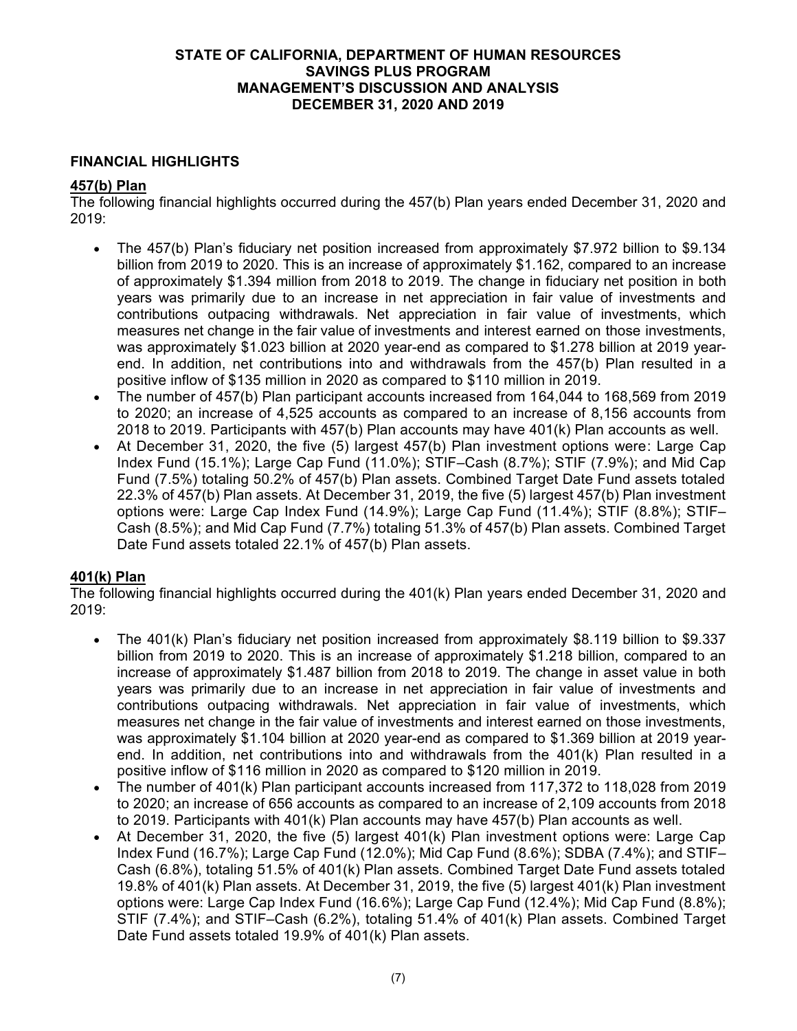# **FINANCIAL HIGHLIGHTS**

# **457(b) Plan**

The following financial highlights occurred during the 457(b) Plan years ended December 31, 2020 and 2019:

- The 457(b) Plan's fiduciary net position increased from approximately \$7.972 billion to \$9.134 billion from 2019 to 2020. This is an increase of approximately \$1.162, compared to an increase of approximately \$1.394 million from 2018 to 2019. The change in fiduciary net position in both years was primarily due to an increase in net appreciation in fair value of investments and contributions outpacing withdrawals. Net appreciation in fair value of investments, which measures net change in the fair value of investments and interest earned on those investments, was approximately \$1.023 billion at 2020 year-end as compared to \$1.278 billion at 2019 yearend. In addition, net contributions into and withdrawals from the 457(b) Plan resulted in a positive inflow of \$135 million in 2020 as compared to \$110 million in 2019.
- The number of 457(b) Plan participant accounts increased from 164,044 to 168,569 from 2019 to 2020; an increase of 4,525 accounts as compared to an increase of 8,156 accounts from 2018 to 2019. Participants with 457(b) Plan accounts may have 401(k) Plan accounts as well.
- At December 31, 2020, the five (5) largest 457(b) Plan investment options were: Large Cap Index Fund (15.1%); Large Cap Fund (11.0%); STIF–Cash (8.7%); STIF (7.9%); and Mid Cap Fund (7.5%) totaling 50.2% of 457(b) Plan assets. Combined Target Date Fund assets totaled 22.3% of 457(b) Plan assets. At December 31, 2019, the five (5) largest 457(b) Plan investment options were: Large Cap Index Fund (14.9%); Large Cap Fund (11.4%); STIF (8.8%); STIF– Cash (8.5%); and Mid Cap Fund (7.7%) totaling 51.3% of 457(b) Plan assets. Combined Target Date Fund assets totaled 22.1% of 457(b) Plan assets.

# **401(k) Plan**

The following financial highlights occurred during the 401(k) Plan years ended December 31, 2020 and 2019:

- The 401(k) Plan's fiduciary net position increased from approximately \$8.119 billion to \$9.337 billion from 2019 to 2020. This is an increase of approximately \$1.218 billion, compared to an increase of approximately \$1.487 billion from 2018 to 2019. The change in asset value in both years was primarily due to an increase in net appreciation in fair value of investments and contributions outpacing withdrawals. Net appreciation in fair value of investments, which measures net change in the fair value of investments and interest earned on those investments, was approximately \$1.104 billion at 2020 year-end as compared to \$1.369 billion at 2019 yearend. In addition, net contributions into and withdrawals from the 401(k) Plan resulted in a positive inflow of \$116 million in 2020 as compared to \$120 million in 2019.
- The number of 401(k) Plan participant accounts increased from 117,372 to 118,028 from 2019 to 2020; an increase of 656 accounts as compared to an increase of 2,109 accounts from 2018 to 2019. Participants with 401(k) Plan accounts may have 457(b) Plan accounts as well.
- At December 31, 2020, the five (5) largest 401(k) Plan investment options were: Large Cap Index Fund (16.7%); Large Cap Fund (12.0%); Mid Cap Fund (8.6%); SDBA (7.4%); and STIF– Cash (6.8%), totaling 51.5% of 401(k) Plan assets. Combined Target Date Fund assets totaled 19.8% of 401(k) Plan assets. At December 31, 2019, the five (5) largest 401(k) Plan investment options were: Large Cap Index Fund (16.6%); Large Cap Fund (12.4%); Mid Cap Fund (8.8%); STIF (7.4%); and STIF–Cash (6.2%), totaling 51.4% of 401(k) Plan assets. Combined Target Date Fund assets totaled 19.9% of 401(k) Plan assets.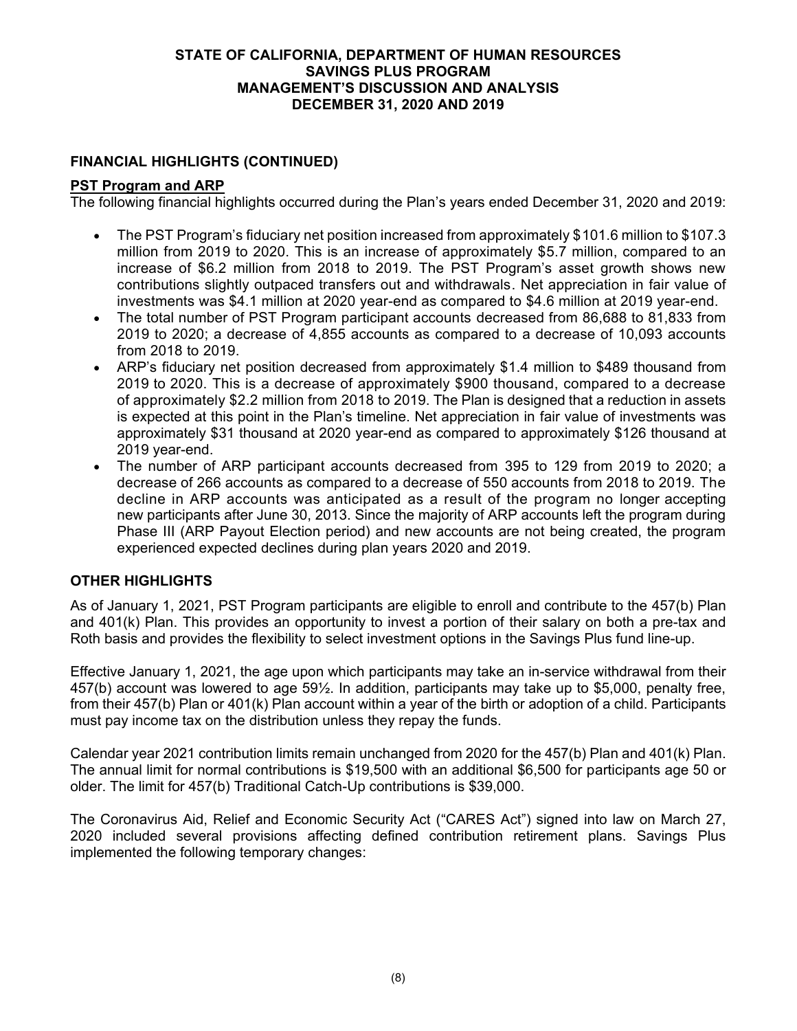# **FINANCIAL HIGHLIGHTS (CONTINUED)**

# **PST Program and ARP**

The following financial highlights occurred during the Plan's years ended December 31, 2020 and 2019:

- The PST Program's fiduciary net position increased from approximately \$101.6 million to \$107.3 million from 2019 to 2020. This is an increase of approximately \$5.7 million, compared to an increase of \$6.2 million from 2018 to 2019. The PST Program's asset growth shows new contributions slightly outpaced transfers out and withdrawals. Net appreciation in fair value of investments was \$4.1 million at 2020 year-end as compared to \$4.6 million at 2019 year-end.
- The total number of PST Program participant accounts decreased from 86,688 to 81,833 from 2019 to 2020; a decrease of 4,855 accounts as compared to a decrease of 10,093 accounts from 2018 to 2019.
- ARP's fiduciary net position decreased from approximately \$1.4 million to \$489 thousand from 2019 to 2020. This is a decrease of approximately \$900 thousand, compared to a decrease of approximately \$2.2 million from 2018 to 2019. The Plan is designed that a reduction in assets is expected at this point in the Plan's timeline. Net appreciation in fair value of investments was approximately \$31 thousand at 2020 year-end as compared to approximately \$126 thousand at 2019 year-end.
- The number of ARP participant accounts decreased from 395 to 129 from 2019 to 2020; a decrease of 266 accounts as compared to a decrease of 550 accounts from 2018 to 2019. The decline in ARP accounts was anticipated as a result of the program no longer accepting new participants after June 30, 2013. Since the majority of ARP accounts left the program during Phase III (ARP Payout Election period) and new accounts are not being created, the program experienced expected declines during plan years 2020 and 2019.

# **OTHER HIGHLIGHTS**

As of January 1, 2021, PST Program participants are eligible to enroll and contribute to the 457(b) Plan and 401(k) Plan. This provides an opportunity to invest a portion of their salary on both a pre-tax and Roth basis and provides the flexibility to select investment options in the Savings Plus fund line-up.

Effective January 1, 2021, the age upon which participants may take an in-service withdrawal from their 457(b) account was lowered to age 59½. In addition, participants may take up to \$5,000, penalty free, from their 457(b) Plan or 401(k) Plan account within a year of the birth or adoption of a child. Participants must pay income tax on the distribution unless they repay the funds.

Calendar year 2021 contribution limits remain unchanged from 2020 for the 457(b) Plan and 401(k) Plan. The annual limit for normal contributions is \$19,500 with an additional \$6,500 for participants age 50 or older. The limit for 457(b) Traditional Catch-Up contributions is \$39,000.

The Coronavirus Aid, Relief and Economic Security Act ("CARES Act") signed into law on March 27, 2020 included several provisions affecting defined contribution retirement plans. Savings Plus implemented the following temporary changes: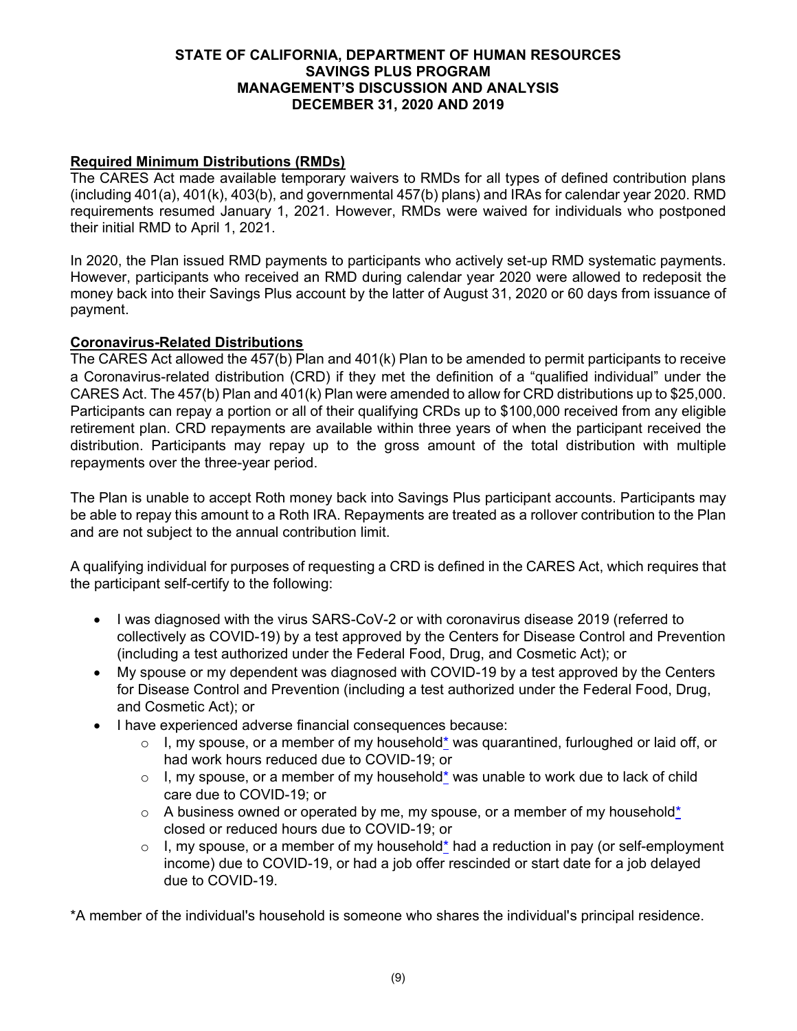# **Required Minimum Distributions (RMDs)**

The CARES Act made available temporary waivers to RMDs for all types of defined contribution plans (including 401(a), 401(k), 403(b), and governmental 457(b) plans) and IRAs for calendar year 2020. RMD requirements resumed January 1, 2021. However, RMDs were waived for individuals who postponed their initial RMD to April 1, 2021.

In 2020, the Plan issued RMD payments to participants who actively set-up RMD systematic payments. However, participants who received an RMD during calendar year 2020 were allowed to redeposit the money back into their Savings Plus account by the latter of August 31, 2020 or 60 days from issuance of payment.

# **Coronavirus-Related Distributions**

The CARES Act allowed the 457(b) Plan and 401(k) Plan to be amended to permit participants to receive a Coronavirus-related distribution (CRD) if they met the definition of a "qualified individual" under the CARES Act. The 457(b) Plan and 401(k) Plan were amended to allow for CRD distributions up to \$25,000. Participants can repay a portion or all of their qualifying CRDs up to \$100,000 received from any eligible retirement plan. CRD repayments are available within three years of when the participant received the distribution. Participants may repay up to the gross amount of the total distribution with multiple repayments over the three-year period.

The Plan is unable to accept Roth money back into Savings Plus participant accounts. Participants may be able to repay this amount to a Roth IRA. Repayments are treated as a rollover contribution to the Plan and are not subject to the annual contribution limit.

A qualifying individual for purposes of requesting a CRD is defined in the CARES Act, which requires that the participant self-certify to the following:

- I was diagnosed with the virus SARS-CoV-2 or with coronavirus disease 2019 (referred to collectively as COVID-19) by a test approved by the Centers for Disease Control and Prevention (including a test authorized under the Federal Food, Drug, and Cosmetic Act); or
- My spouse or my dependent was diagnosed with COVID-19 by a test approved by the Centers for Disease Control and Prevention (including a test authorized under the Federal Food, Drug, and Cosmetic Act); or
- I have experienced adverse financial consequences because:
	- $\circ$  I, my spouse, or a member of my househol[d\\*](#page-10-0) was quarantined, furloughed or laid off, or had work hours reduced due to COVID-19; or
	- $\circ$  I, my spouse, or a member of my househol[d\\*](#page-10-0) was unable to work due to lack of child care due to COVID-19; or
	- $\circ$  A business owned or operated by me, my spouse, or a member of my househol[d\\*](#page-10-0) closed or reduced hours due to COVID-19; or
	- $\circ$  I, my spouse, or a member of my househol[d\\*](#page-10-0) had a reduction in pay (or self-employment income) due to COVID-19, or had a job offer rescinded or start date for a job delayed due to COVID-19.

<span id="page-10-0"></span>\*A member of the individual's household is someone who shares the individual's principal residence.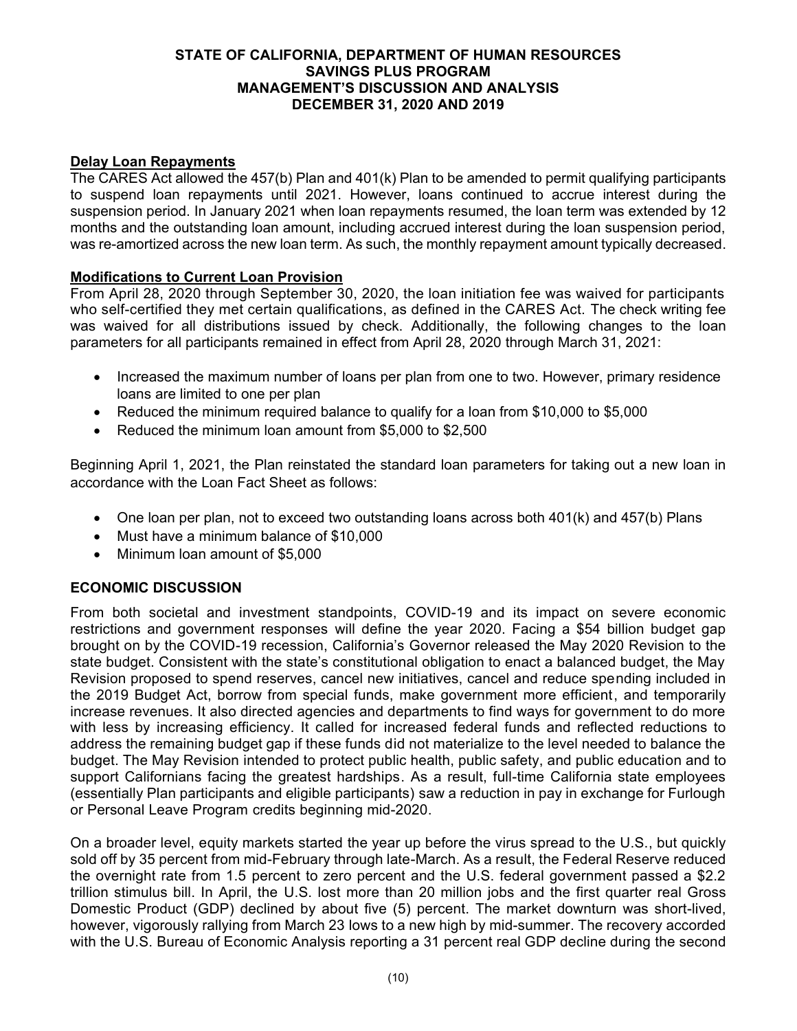# **Delay Loan Repayments**

The CARES Act allowed the 457(b) Plan and 401(k) Plan to be amended to permit qualifying participants to suspend loan repayments until 2021. However, loans continued to accrue interest during the suspension period. In January 2021 when loan repayments resumed, the loan term was extended by 12 months and the outstanding loan amount, including accrued interest during the loan suspension period, was re-amortized across the new loan term. As such, the monthly repayment amount typically decreased.

### **Modifications to Current Loan Provision**

From April 28, 2020 through September 30, 2020, the loan initiation fee was waived for participants who self-certified they met certain qualifications, as defined in the CARES Act. The check writing fee was waived for all distributions issued by check. Additionally, the following changes to the loan parameters for all participants remained in effect from April 28, 2020 through March 31, 2021:

- Increased the maximum number of loans per plan from one to two. However, primary residence loans are limited to one per plan
- Reduced the minimum required balance to qualify for a loan from \$10,000 to \$5,000
- Reduced the minimum loan amount from \$5,000 to \$2,500

Beginning April 1, 2021, the Plan reinstated the standard loan parameters for taking out a new loan in accordance with the Loan Fact Sheet as follows:

- One loan per plan, not to exceed two outstanding loans across both  $401(k)$  and  $457(b)$  Plans
- Must have a minimum balance of \$10,000
- Minimum loan amount of \$5,000

# **ECONOMIC DISCUSSION**

From both societal and investment standpoints, COVID-19 and its impact on severe economic restrictions and government responses will define the year 2020. Facing a \$54 billion budget gap brought on by the COVID-19 recession, California's Governor released the May 2020 Revision to the state budget. Consistent with the state's constitutional obligation to enact a balanced budget, the May Revision proposed to spend reserves, cancel new initiatives, cancel and reduce spending included in the 2019 Budget Act, borrow from special funds, make government more efficient, and temporarily increase revenues. It also directed agencies and departments to find ways for government to do more with less by increasing efficiency. It called for increased federal funds and reflected reductions to address the remaining budget gap if these funds did not materialize to the level needed to balance the budget. The May Revision intended to protect public health, public safety, and public education and to support Californians facing the greatest hardships. As a result, full-time California state employees (essentially Plan participants and eligible participants) saw a reduction in pay in exchange for Furlough or Personal Leave Program credits beginning mid-2020.

On a broader level, equity markets started the year up before the virus spread to the U.S., but quickly sold off by 35 percent from mid-February through late-March. As a result, the Federal Reserve reduced the overnight rate from 1.5 percent to zero percent and the U.S. federal government passed a \$2.2 trillion stimulus bill. In April, the U.S. lost more than 20 million jobs and the first quarter real Gross Domestic Product (GDP) declined by about five (5) percent. The market downturn was short-lived, however, vigorously rallying from March 23 lows to a new high by mid-summer. The recovery accorded with the U.S. Bureau of Economic Analysis reporting a 31 percent real GDP decline during the second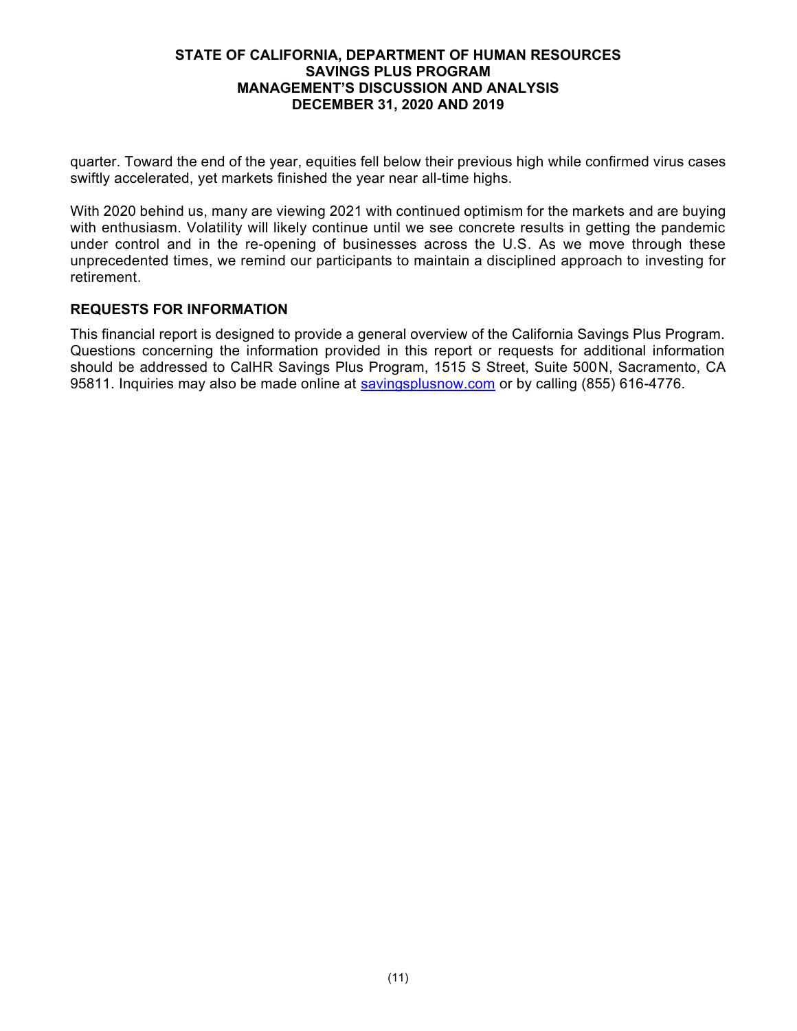quarter. Toward the end of the year, equities fell below their previous high while confirmed virus cases swiftly accelerated, yet markets finished the year near all-time highs.

With 2020 behind us, many are viewing 2021 with continued optimism for the markets and are buying with enthusiasm. Volatility will likely continue until we see concrete results in getting the pandemic under control and in the re-opening of businesses across the U.S. As we move through these unprecedented times, we remind our participants to maintain a disciplined approach to investing for retirement.

# **REQUESTS FOR INFORMATION**

This financial report is designed to provide a general overview of the California Savings Plus Program. Questions concerning the information provided in this report or requests for additional information should be addressed to CalHR Savings Plus Program, 1515 S Street, Suite 500N, Sacramento, CA 95811. Inquiries may also be made online at [savingsplusnow.com](http://www.savingsplusnow.com/) or by calling (855) 616-4776.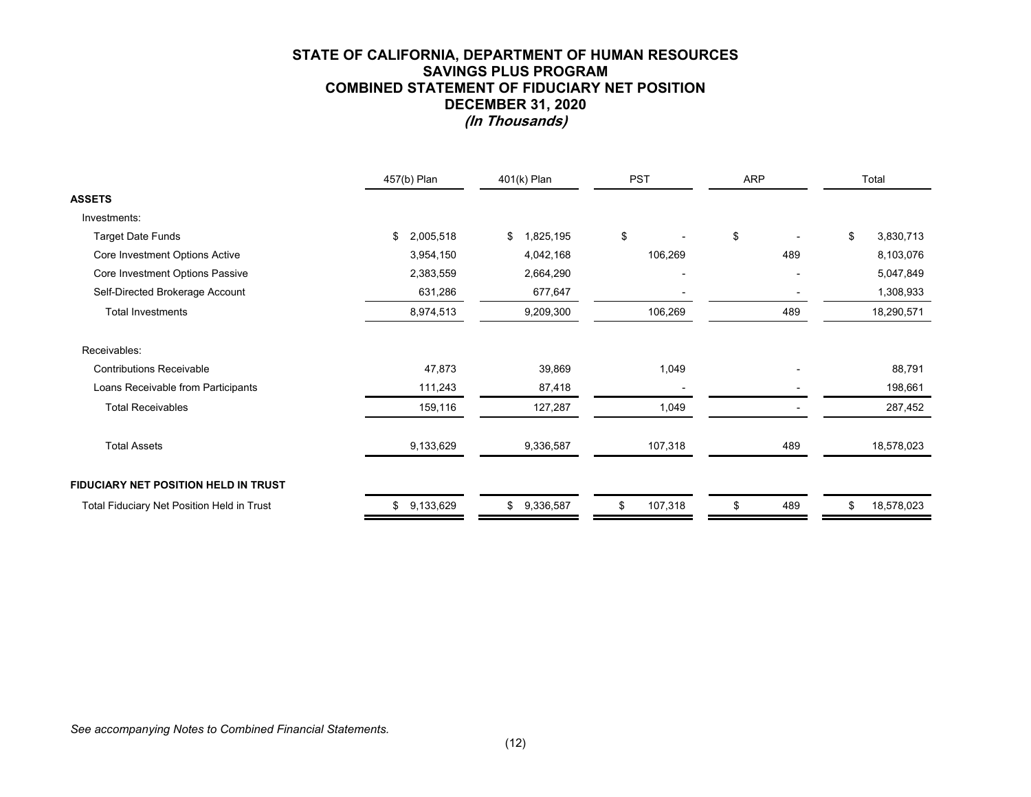## **STATE OF CALIFORNIA, DEPARTMENT OF HUMAN RESOURCES SAVINGS PLUS PROGRAM COMBINED STATEMENT OF FIDUCIARY NET POSITION DECEMBER 31, 2020 (In Thousands)**

<span id="page-13-0"></span>

|                                             | 457(b) Plan     | <b>PST</b><br>401(k) Plan |         | ARP                      | Total            |  |
|---------------------------------------------|-----------------|---------------------------|---------|--------------------------|------------------|--|
| <b>ASSETS</b>                               |                 |                           |         |                          |                  |  |
| Investments:                                |                 |                           |         |                          |                  |  |
| <b>Target Date Funds</b>                    | 2,005,518<br>\$ | 1,825,195<br>\$           | \$      | \$                       | 3,830,713<br>\$  |  |
| Core Investment Options Active              | 3,954,150       | 4,042,168                 | 106,269 | 489                      | 8,103,076        |  |
| Core Investment Options Passive             | 2,383,559       | 2,664,290                 | ٠       | $\overline{\phantom{a}}$ | 5,047,849        |  |
| Self-Directed Brokerage Account             | 631,286         | 677,647                   |         |                          | 1,308,933        |  |
| <b>Total Investments</b>                    | 8,974,513       | 9,209,300                 | 106,269 | 489                      | 18,290,571       |  |
| Receivables:                                |                 |                           |         |                          |                  |  |
| <b>Contributions Receivable</b>             | 47,873          | 39,869                    | 1,049   |                          | 88,791           |  |
| Loans Receivable from Participants          | 111,243         | 87,418                    |         |                          | 198,661          |  |
| <b>Total Receivables</b>                    | 159,116         | 127,287                   | 1,049   |                          | 287,452          |  |
| <b>Total Assets</b>                         | 9,133,629       | 9,336,587                 | 107,318 | 489                      | 18,578,023       |  |
| <b>FIDUCIARY NET POSITION HELD IN TRUST</b> |                 |                           |         |                          |                  |  |
| Total Fiduciary Net Position Held in Trust  | 9,133,629<br>\$ | 9,336,587<br>\$           | 107,318 | 489<br>\$                | 18,578,023<br>\$ |  |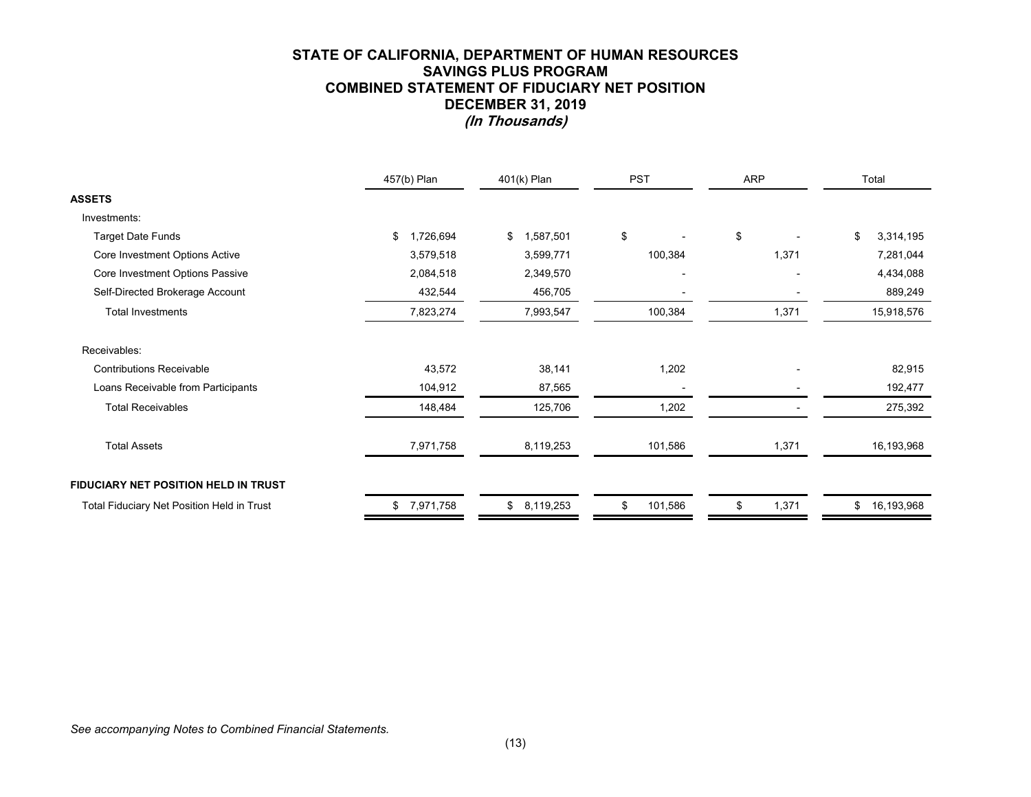## **STATE OF CALIFORNIA, DEPARTMENT OF HUMAN RESOURCES SAVINGS PLUS PROGRAM COMBINED STATEMENT OF FIDUCIARY NET POSITION DECEMBER 31, 2019 (In Thousands)**

|                                            | 457(b) Plan     | 401(k) Plan     | <b>PST</b>               | <b>ARP</b>  | Total            |  |
|--------------------------------------------|-----------------|-----------------|--------------------------|-------------|------------------|--|
| <b>ASSETS</b>                              |                 |                 |                          |             |                  |  |
| Investments:                               |                 |                 |                          |             |                  |  |
| <b>Target Date Funds</b>                   | 1,726,694<br>\$ | 1,587,501<br>\$ | \$<br>$\blacksquare$     | \$          | 3,314,195<br>\$  |  |
| Core Investment Options Active             | 3,579,518       | 3,599,771       | 100,384                  | 1,371       | 7,281,044        |  |
| Core Investment Options Passive            | 2,084,518       | 2,349,570       | $\overline{\phantom{0}}$ |             | 4,434,088        |  |
| Self-Directed Brokerage Account            | 432,544         | 456,705         |                          |             | 889,249          |  |
| <b>Total Investments</b>                   | 7,823,274       | 7,993,547       | 100,384                  | 1,371       | 15,918,576       |  |
| Receivables:                               |                 |                 |                          |             |                  |  |
| <b>Contributions Receivable</b>            | 43,572          | 38,141          | 1,202                    |             | 82,915           |  |
| Loans Receivable from Participants         | 104,912         | 87,565          |                          |             | 192,477          |  |
| <b>Total Receivables</b>                   | 148,484         | 125,706         | 1,202                    |             | 275,392          |  |
| <b>Total Assets</b>                        | 7,971,758       | 8,119,253       | 101,586                  | 1,371       | 16,193,968       |  |
| FIDUCIARY NET POSITION HELD IN TRUST       |                 |                 |                          |             |                  |  |
| Total Fiduciary Net Position Held in Trust | 7,971,758<br>\$ | 8,119,253<br>\$ | 101,586<br>\$            | 1,371<br>\$ | \$<br>16,193,968 |  |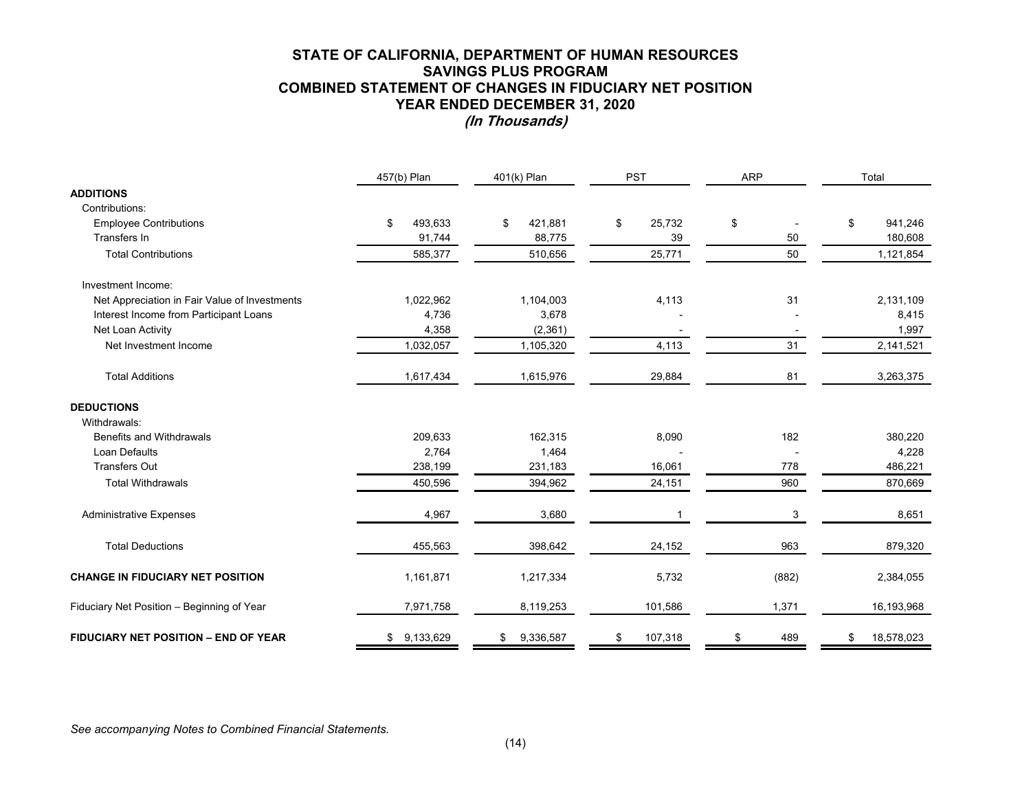## **STATE OF CALIFORNIA, DEPARTMENT OF HUMAN RESOURCES SAVINGS PLUS PROGRAM COMBINED STATEMENT OF CHANGES IN FIDUCIARY NET POSITION YEAR ENDED DECEMBER 31, 2020 (In Thousands)**

<span id="page-15-0"></span>

|                                               | 457(b) Plan     | 401(k) Plan     | <b>PST</b>    | <b>ARP</b> | Total            |  |
|-----------------------------------------------|-----------------|-----------------|---------------|------------|------------------|--|
| <b>ADDITIONS</b>                              |                 |                 |               |            |                  |  |
| Contributions:                                |                 |                 |               |            |                  |  |
| <b>Employee Contributions</b>                 | \$<br>493,633   | 421,881<br>\$   | \$<br>25,732  | \$         | \$<br>941,246    |  |
| Transfers In                                  | 91,744          | 88,775          | 39            | 50         | 180,608          |  |
| <b>Total Contributions</b>                    | 585,377         | 510,656         | 25,771        | 50         | 1,121,854        |  |
| Investment Income:                            |                 |                 |               |            |                  |  |
| Net Appreciation in Fair Value of Investments | 1,022,962       | 1,104,003       | 4,113         | 31         | 2,131,109        |  |
| Interest Income from Participant Loans        | 4,736           | 3,678           |               |            | 8,415            |  |
| Net Loan Activity                             | 4,358           | (2, 361)        |               |            | 1,997            |  |
| Net Investment Income                         | 1,032,057       | 1,105,320       | 4,113         | 31         | 2,141,521        |  |
| <b>Total Additions</b>                        | 1,617,434       | 1,615,976       | 29,884        | 81         | 3,263,375        |  |
| <b>DEDUCTIONS</b>                             |                 |                 |               |            |                  |  |
| Withdrawals:                                  |                 |                 |               |            |                  |  |
| <b>Benefits and Withdrawals</b>               | 209,633         | 162,315         | 8,090         | 182        | 380,220          |  |
| Loan Defaults                                 | 2,764           | 1,464           |               |            | 4,228            |  |
| <b>Transfers Out</b>                          | 238,199         | 231,183         | 16,061        | 778        | 486,221          |  |
| <b>Total Withdrawals</b>                      | 450,596         | 394,962         | 24,151        | 960        | 870,669          |  |
| <b>Administrative Expenses</b>                | 4,967           | 3,680           |               | 3          | 8,651            |  |
| <b>Total Deductions</b>                       | 455,563         | 398,642         | 24,152        | 963        | 879,320          |  |
| <b>CHANGE IN FIDUCIARY NET POSITION</b>       | 1,161,871       | 1,217,334       | 5,732         | (882)      | 2,384,055        |  |
| Fiduciary Net Position - Beginning of Year    | 7,971,758       | 8,119,253       | 101,586       | 1,371      | 16,193,968       |  |
| <b>FIDUCIARY NET POSITION - END OF YEAR</b>   | 9,133,629<br>\$ | 9,336,587<br>\$ | 107,318<br>\$ | 489<br>\$  | 18,578,023<br>\$ |  |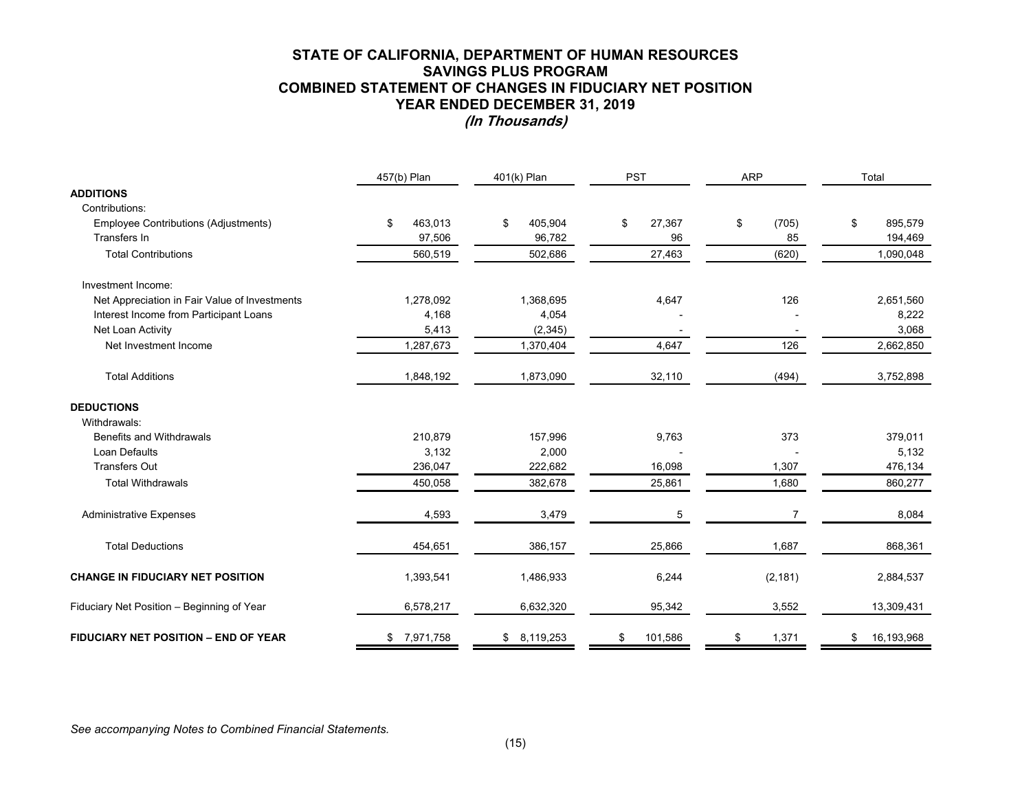## **STATE OF CALIFORNIA, DEPARTMENT OF HUMAN RESOURCES SAVINGS PLUS PROGRAM COMBINED STATEMENT OF CHANGES IN FIDUCIARY NET POSITION YEAR ENDED DECEMBER 31, 2019 (In Thousands)**

|                                               | 457(b) Plan   | 401(k) Plan     | <b>PST</b>    | <b>ARP</b>     | Total            |  |
|-----------------------------------------------|---------------|-----------------|---------------|----------------|------------------|--|
| <b>ADDITIONS</b>                              |               |                 |               |                |                  |  |
| Contributions:                                |               |                 |               |                |                  |  |
| Employee Contributions (Adjustments)          | 463,013<br>\$ | 405,904<br>\$   | 27,367<br>\$  | (705)<br>\$    | 895,579<br>\$    |  |
| <b>Transfers In</b>                           | 97,506        | 96,782          | 96            | 85             | 194,469          |  |
| <b>Total Contributions</b>                    | 560,519       | 502,686         | 27,463        | (620)          | 1,090,048        |  |
| Investment Income:                            |               |                 |               |                |                  |  |
| Net Appreciation in Fair Value of Investments | 1,278,092     | 1,368,695       | 4,647         | 126            | 2,651,560        |  |
| Interest Income from Participant Loans        | 4,168         | 4,054           |               |                | 8,222            |  |
| Net Loan Activity                             | 5,413         | (2, 345)        |               |                | 3,068            |  |
| Net Investment Income                         | 1,287,673     | 1,370,404       | 4,647         | 126            | 2,662,850        |  |
| <b>Total Additions</b>                        | 1,848,192     | 1,873,090       | 32,110        | (494)          | 3,752,898        |  |
| <b>DEDUCTIONS</b>                             |               |                 |               |                |                  |  |
| Withdrawals:                                  |               |                 |               |                |                  |  |
| <b>Benefits and Withdrawals</b>               | 210,879       | 157,996         | 9,763         | 373            | 379,011          |  |
| Loan Defaults                                 | 3,132         | 2,000           |               |                | 5,132            |  |
| <b>Transfers Out</b>                          | 236,047       | 222,682         | 16,098        | 1,307          | 476,134          |  |
| <b>Total Withdrawals</b>                      | 450,058       | 382,678         | 25,861        | 1,680          | 860,277          |  |
| <b>Administrative Expenses</b>                | 4,593         | 3,479           | 5             | $\overline{7}$ | 8,084            |  |
| <b>Total Deductions</b>                       | 454,651       | 386,157         | 25,866        | 1,687          | 868,361          |  |
| <b>CHANGE IN FIDUCIARY NET POSITION</b>       | 1,393,541     | 1,486,933       | 6,244         | (2, 181)       | 2,884,537        |  |
| Fiduciary Net Position - Beginning of Year    | 6,578,217     | 6,632,320       | 95,342        | 3,552          | 13,309,431       |  |
| <b>FIDUCIARY NET POSITION - END OF YEAR</b>   | \$7,971,758   | 8,119,253<br>\$ | 101,586<br>\$ | 1,371<br>\$    | 16,193,968<br>\$ |  |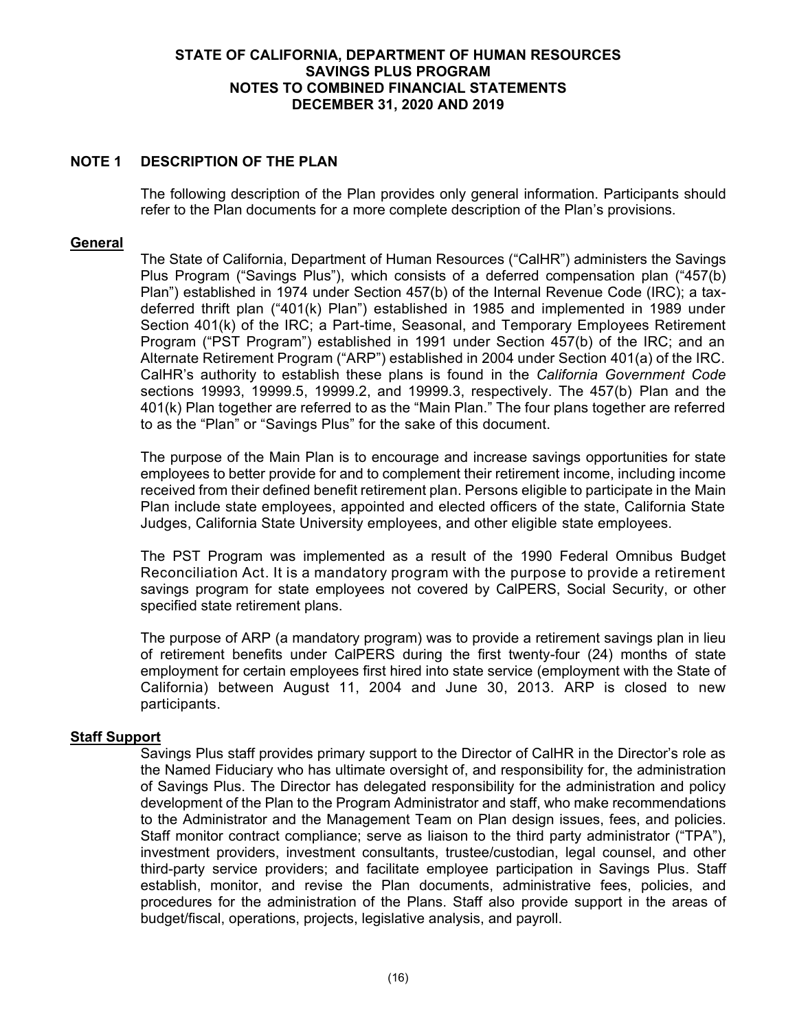# <span id="page-17-0"></span>**NOTE 1 DESCRIPTION OF THE PLAN**

The following description of the Plan provides only general information. Participants should refer to the Plan documents for a more complete description of the Plan's provisions.

## **General**

The State of California, Department of Human Resources ("CalHR") administers the Savings Plus Program ("Savings Plus"), which consists of a deferred compensation plan ("457(b) Plan") established in 1974 under Section 457(b) of the Internal Revenue Code (IRC); a taxdeferred thrift plan ("401(k) Plan") established in 1985 and implemented in 1989 under Section 401(k) of the IRC; a Part-time, Seasonal, and Temporary Employees Retirement Program ("PST Program") established in 1991 under Section 457(b) of the IRC; and an Alternate Retirement Program ("ARP") established in 2004 under Section 401(a) of the IRC. CalHR's authority to establish these plans is found in the *California Government Code* sections 19993, 19999.5, 19999.2, and 19999.3, respectively. The 457(b) Plan and the 401(k) Plan together are referred to as the "Main Plan." The four plans together are referred to as the "Plan" or "Savings Plus" for the sake of this document.

The purpose of the Main Plan is to encourage and increase savings opportunities for state employees to better provide for and to complement their retirement income, including income received from their defined benefit retirement plan. Persons eligible to participate in the Main Plan include state employees, appointed and elected officers of the state, California State Judges, California State University employees, and other eligible state employees.

The PST Program was implemented as a result of the 1990 Federal Omnibus Budget Reconciliation Act. It is a mandatory program with the purpose to provide a retirement savings program for state employees not covered by CalPERS, Social Security, or other specified state retirement plans.

The purpose of ARP (a mandatory program) was to provide a retirement savings plan in lieu of retirement benefits under CalPERS during the first twenty-four (24) months of state employment for certain employees first hired into state service (employment with the State of California) between August 11, 2004 and June 30, 2013. ARP is closed to new participants.

## **Staff Support**

Savings Plus staff provides primary support to the Director of CalHR in the Director's role as the Named Fiduciary who has ultimate oversight of, and responsibility for, the administration of Savings Plus. The Director has delegated responsibility for the administration and policy development of the Plan to the Program Administrator and staff, who make recommendations to the Administrator and the Management Team on Plan design issues, fees, and policies. Staff monitor contract compliance; serve as liaison to the third party administrator ("TPA"), investment providers, investment consultants, trustee/custodian, legal counsel, and other third-party service providers; and facilitate employee participation in Savings Plus. Staff establish, monitor, and revise the Plan documents, administrative fees, policies, and procedures for the administration of the Plans. Staff also provide support in the areas of budget/fiscal, operations, projects, legislative analysis, and payroll.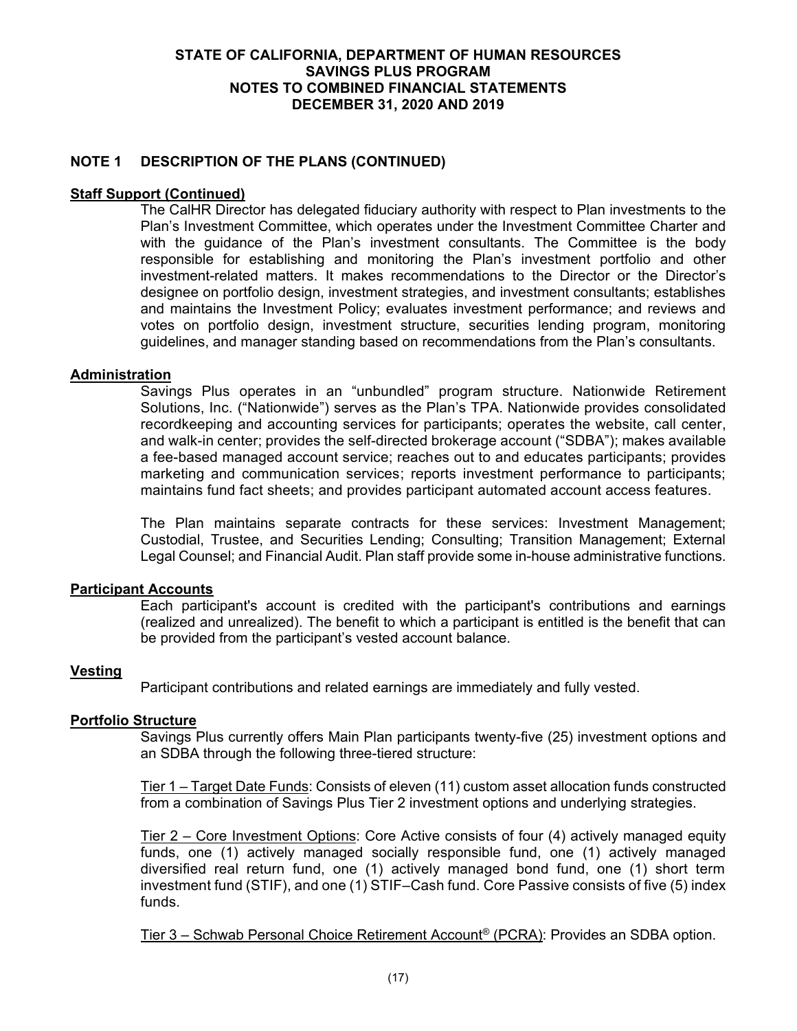# **NOTE 1 DESCRIPTION OF THE PLANS (CONTINUED)**

### **Staff Support (Continued)**

The CalHR Director has delegated fiduciary authority with respect to Plan investments to the Plan's Investment Committee, which operates under the Investment Committee Charter and with the guidance of the Plan's investment consultants. The Committee is the body responsible for establishing and monitoring the Plan's investment portfolio and other investment-related matters. It makes recommendations to the Director or the Director's designee on portfolio design, investment strategies, and investment consultants; establishes and maintains the Investment Policy; evaluates investment performance; and reviews and votes on portfolio design, investment structure, securities lending program, monitoring guidelines, and manager standing based on recommendations from the Plan's consultants.

### **Administration**

Savings Plus operates in an "unbundled" program structure. Nationwide Retirement Solutions, Inc. ("Nationwide") serves as the Plan's TPA. Nationwide provides consolidated recordkeeping and accounting services for participants; operates the website, call center, and walk-in center; provides the self-directed brokerage account ("SDBA"); makes available a fee-based managed account service; reaches out to and educates participants; provides marketing and communication services; reports investment performance to participants; maintains fund fact sheets; and provides participant automated account access features.

The Plan maintains separate contracts for these services: Investment Management; Custodial, Trustee, and Securities Lending; Consulting; Transition Management; External Legal Counsel; and Financial Audit. Plan staff provide some in-house administrative functions.

### **Participant Accounts**

Each participant's account is credited with the participant's contributions and earnings (realized and unrealized). The benefit to which a participant is entitled is the benefit that can be provided from the participant's vested account balance.

#### **Vesting**

Participant contributions and related earnings are immediately and fully vested.

#### **Portfolio Structure**

Savings Plus currently offers Main Plan participants twenty-five (25) investment options and an SDBA through the following three-tiered structure:

Tier 1 – Target Date Funds: Consists of eleven (11) custom asset allocation funds constructed from a combination of Savings Plus Tier 2 investment options and underlying strategies.

Tier 2 – Core Investment Options: Core Active consists of four (4) actively managed equity funds, one (1) actively managed socially responsible fund, one (1) actively managed diversified real return fund, one (1) actively managed bond fund, one (1) short term investment fund (STIF), and one (1) STIF–Cash fund. Core Passive consists of five (5) index funds.

Tier 3 – Schwab Personal Choice Retirement Account® (PCRA): Provides an SDBA option.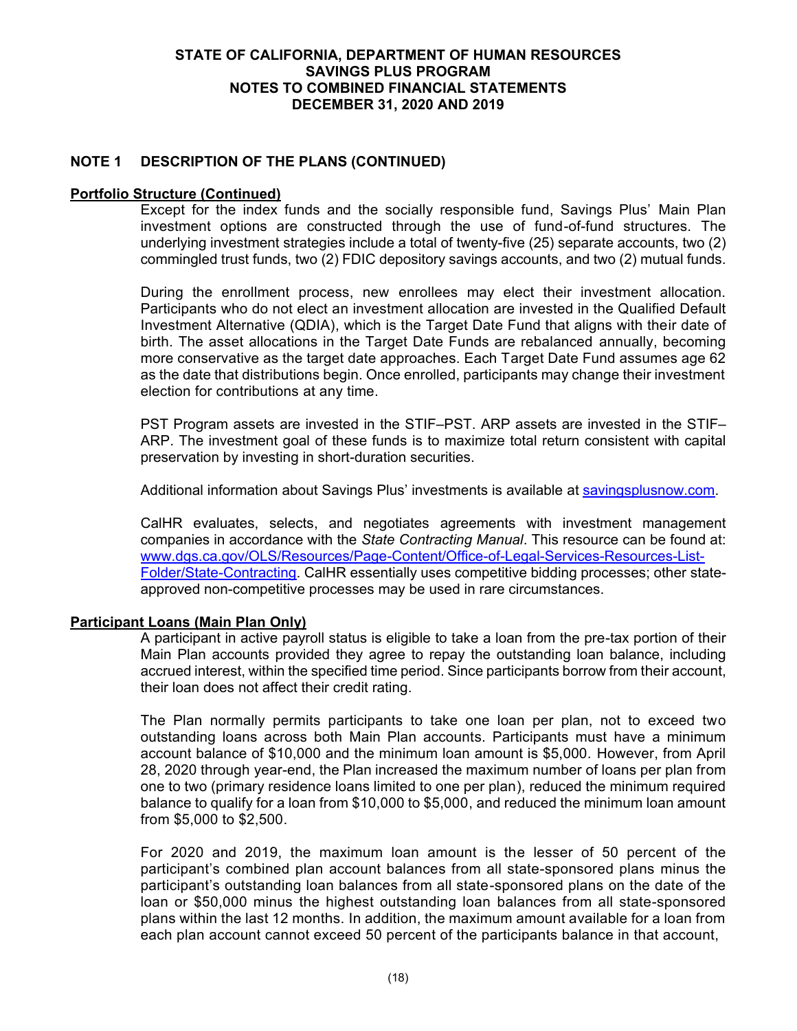# **NOTE 1 DESCRIPTION OF THE PLANS (CONTINUED)**

### **Portfolio Structure (Continued)**

Except for the index funds and the socially responsible fund, Savings Plus' Main Plan investment options are constructed through the use of fund-of-fund structures. The underlying investment strategies include a total of twenty-five (25) separate accounts, two (2) commingled trust funds, two (2) FDIC depository savings accounts, and two (2) mutual funds.

During the enrollment process, new enrollees may elect their investment allocation. Participants who do not elect an investment allocation are invested in the Qualified Default Investment Alternative (QDIA), which is the Target Date Fund that aligns with their date of birth. The asset allocations in the Target Date Funds are rebalanced annually, becoming more conservative as the target date approaches. Each Target Date Fund assumes age 62 as the date that distributions begin. Once enrolled, participants may change their investment election for contributions at any time.

PST Program assets are invested in the STIF–PST. ARP assets are invested in the STIF– ARP. The investment goal of these funds is to maximize total return consistent with capital preservation by investing in short-duration securities.

Additional information about Savings Plus' investments is available at [savingsplusnow.com.](http://www.savingsplusnow.com/)

CalHR evaluates, selects, and negotiates agreements with investment management companies in accordance with the *State Contracting Manual*. This resource can be found at: [www.dgs.ca.gov/OLS/Resources/Page-Content/Office-of-Legal-Services-Resources-List-](https://www.dgs.ca.gov/OLS/Resources/Page-Content/Office-of-Legal-Services-Resources-List-Folder/State-Contracting)[Folder/State-Contracting.](https://www.dgs.ca.gov/OLS/Resources/Page-Content/Office-of-Legal-Services-Resources-List-Folder/State-Contracting) CalHR essentially uses competitive bidding processes; other stateapproved non-competitive processes may be used in rare circumstances.

### **Participant Loans (Main Plan Only)**

A participant in active payroll status is eligible to take a loan from the pre-tax portion of their Main Plan accounts provided they agree to repay the outstanding loan balance, including accrued interest, within the specified time period. Since participants borrow from their account, their loan does not affect their credit rating.

The Plan normally permits participants to take one loan per plan, not to exceed two outstanding loans across both Main Plan accounts. Participants must have a minimum account balance of \$10,000 and the minimum loan amount is \$5,000. However, from April 28, 2020 through year-end, the Plan increased the maximum number of loans per plan from one to two (primary residence loans limited to one per plan), reduced the minimum required balance to qualify for a loan from \$10,000 to \$5,000, and reduced the minimum loan amount from \$5,000 to \$2,500.

For 2020 and 2019, the maximum loan amount is the lesser of 50 percent of the participant's combined plan account balances from all state-sponsored plans minus the participant's outstanding loan balances from all state-sponsored plans on the date of the loan or \$50,000 minus the highest outstanding loan balances from all state-sponsored plans within the last 12 months. In addition, the maximum amount available for a loan from each plan account cannot exceed 50 percent of the participants balance in that account,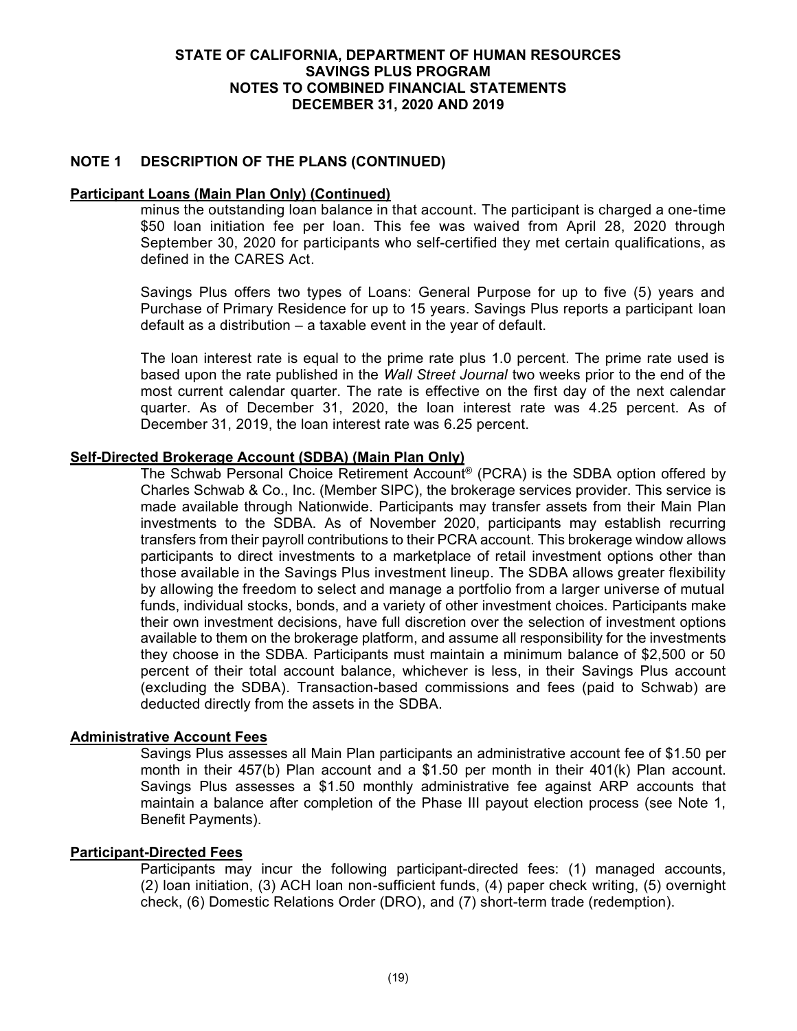# **NOTE 1 DESCRIPTION OF THE PLANS (CONTINUED)**

### **Participant Loans (Main Plan Only) (Continued)**

minus the outstanding loan balance in that account. The participant is charged a one-time \$50 loan initiation fee per loan. This fee was waived from April 28, 2020 through September 30, 2020 for participants who self-certified they met certain qualifications, as defined in the CARES Act.

Savings Plus offers two types of Loans: General Purpose for up to five (5) years and Purchase of Primary Residence for up to 15 years. Savings Plus reports a participant loan default as a distribution – a taxable event in the year of default.

The loan interest rate is equal to the prime rate plus 1.0 percent. The prime rate used is based upon the rate published in the *Wall Street Journal* two weeks prior to the end of the most current calendar quarter. The rate is effective on the first day of the next calendar quarter. As of December 31, 2020, the loan interest rate was 4.25 percent. As of December 31, 2019, the loan interest rate was 6.25 percent.

### **Self-Directed Brokerage Account (SDBA) (Main Plan Only)**

The Schwab Personal Choice Retirement Account® (PCRA) is the SDBA option offered by Charles Schwab & Co., Inc. (Member SIPC), the brokerage services provider. This service is made available through Nationwide. Participants may transfer assets from their Main Plan investments to the SDBA. As of November 2020, participants may establish recurring transfers from their payroll contributions to their PCRA account. This brokerage window allows participants to direct investments to a marketplace of retail investment options other than those available in the Savings Plus investment lineup. The SDBA allows greater flexibility by allowing the freedom to select and manage a portfolio from a larger universe of mutual funds, individual stocks, bonds, and a variety of other investment choices. Participants make their own investment decisions, have full discretion over the selection of investment options available to them on the brokerage platform, and assume all responsibility for the investments they choose in the SDBA. Participants must maintain a minimum balance of \$2,500 or 50 percent of their total account balance, whichever is less, in their Savings Plus account (excluding the SDBA). Transaction-based commissions and fees (paid to Schwab) are deducted directly from the assets in the SDBA.

## **Administrative Account Fees**

Savings Plus assesses all Main Plan participants an administrative account fee of \$1.50 per month in their 457(b) Plan account and a \$1.50 per month in their 401(k) Plan account. Savings Plus assesses a \$1.50 monthly administrative fee against ARP accounts that maintain a balance after completion of the Phase III payout election process (see Note 1, Benefit Payments).

### **Participant-Directed Fees**

Participants may incur the following participant-directed fees: (1) managed accounts, (2) loan initiation, (3) ACH loan non-sufficient funds, (4) paper check writing, (5) overnight check, (6) Domestic Relations Order (DRO), and (7) short-term trade (redemption).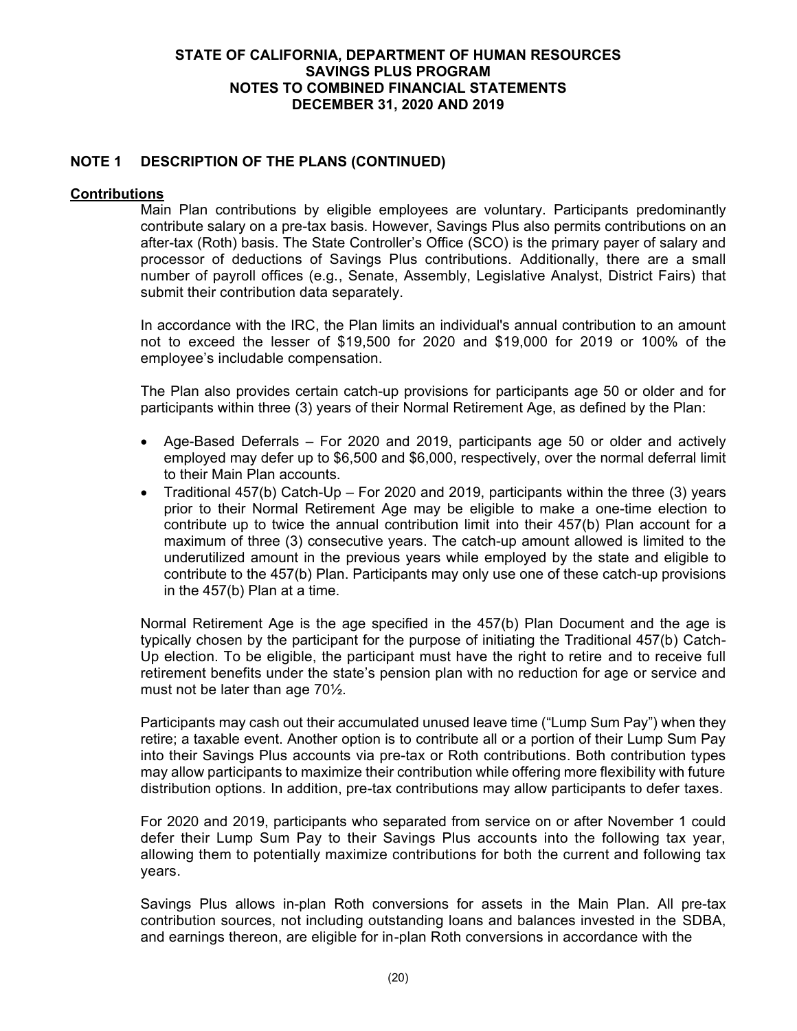# **NOTE 1 DESCRIPTION OF THE PLANS (CONTINUED)**

### **Contributions**

Main Plan contributions by eligible employees are voluntary. Participants predominantly contribute salary on a pre-tax basis. However, Savings Plus also permits contributions on an after-tax (Roth) basis. The State Controller's Office (SCO) is the primary payer of salary and processor of deductions of Savings Plus contributions. Additionally, there are a small number of payroll offices (e.g., Senate, Assembly, Legislative Analyst, District Fairs) that submit their contribution data separately.

In accordance with the IRC, the Plan limits an individual's annual contribution to an amount not to exceed the lesser of \$19,500 for 2020 and \$19,000 for 2019 or 100% of the employee's includable compensation.

The Plan also provides certain catch-up provisions for participants age 50 or older and for participants within three (3) years of their Normal Retirement Age, as defined by the Plan:

- Age-Based Deferrals For 2020 and 2019, participants age 50 or older and actively employed may defer up to \$6,500 and \$6,000, respectively, over the normal deferral limit to their Main Plan accounts.
- Traditional 457(b) Catch-Up For 2020 and 2019, participants within the three (3) years prior to their Normal Retirement Age may be eligible to make a one-time election to contribute up to twice the annual contribution limit into their 457(b) Plan account for a maximum of three (3) consecutive years. The catch-up amount allowed is limited to the underutilized amount in the previous years while employed by the state and eligible to contribute to the 457(b) Plan. Participants may only use one of these catch-up provisions in the 457(b) Plan at a time.

Normal Retirement Age is the age specified in the 457(b) Plan Document and the age is typically chosen by the participant for the purpose of initiating the Traditional 457(b) Catch-Up election. To be eligible, the participant must have the right to retire and to receive full retirement benefits under the state's pension plan with no reduction for age or service and must not be later than age 70½.

Participants may cash out their accumulated unused leave time ("Lump Sum Pay") when they retire; a taxable event. Another option is to contribute all or a portion of their Lump Sum Pay into their Savings Plus accounts via pre-tax or Roth contributions. Both contribution types may allow participants to maximize their contribution while offering more flexibility with future distribution options. In addition, pre-tax contributions may allow participants to defer taxes.

For 2020 and 2019, participants who separated from service on or after November 1 could defer their Lump Sum Pay to their Savings Plus accounts into the following tax year, allowing them to potentially maximize contributions for both the current and following tax years.

Savings Plus allows in-plan Roth conversions for assets in the Main Plan. All pre-tax contribution sources, not including outstanding loans and balances invested in the SDBA, and earnings thereon, are eligible for in-plan Roth conversions in accordance with the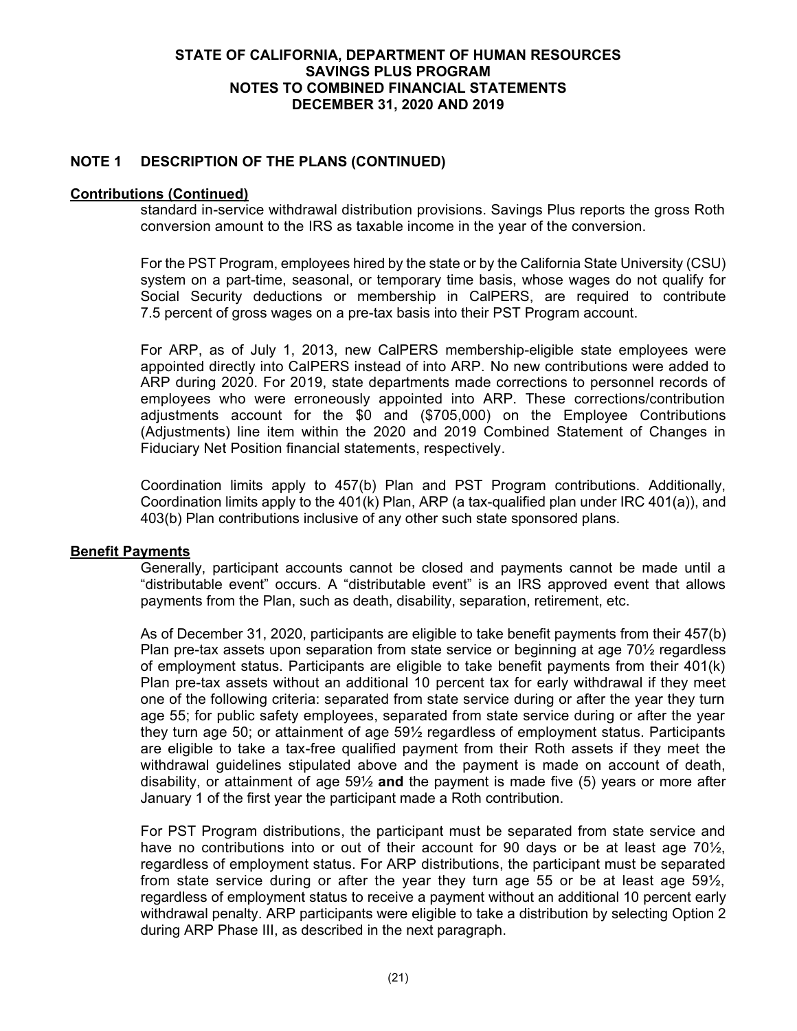# **NOTE 1 DESCRIPTION OF THE PLANS (CONTINUED)**

#### **Contributions (Continued)**

standard in-service withdrawal distribution provisions. Savings Plus reports the gross Roth conversion amount to the IRS as taxable income in the year of the conversion.

For the PST Program, employees hired by the state or by the California State University (CSU) system on a part-time, seasonal, or temporary time basis, whose wages do not qualify for Social Security deductions or membership in CalPERS, are required to contribute 7.5 percent of gross wages on a pre-tax basis into their PST Program account.

For ARP, as of July 1, 2013, new CalPERS membership-eligible state employees were appointed directly into CalPERS instead of into ARP. No new contributions were added to ARP during 2020. For 2019, state departments made corrections to personnel records of employees who were erroneously appointed into ARP. These corrections/contribution adjustments account for the \$0 and (\$705,000) on the Employee Contributions (Adjustments) line item within the 2020 and 2019 Combined Statement of Changes in Fiduciary Net Position financial statements, respectively.

Coordination limits apply to 457(b) Plan and PST Program contributions. Additionally, Coordination limits apply to the 401(k) Plan, ARP (a tax-qualified plan under IRC 401(a)), and 403(b) Plan contributions inclusive of any other such state sponsored plans.

### **Benefit Payments**

Generally, participant accounts cannot be closed and payments cannot be made until a "distributable event" occurs. A "distributable event" is an IRS approved event that allows payments from the Plan, such as death, disability, separation, retirement, etc.

As of December 31, 2020, participants are eligible to take benefit payments from their 457(b) Plan pre-tax assets upon separation from state service or beginning at age  $70\frac{1}{2}$  regardless of employment status. Participants are eligible to take benefit payments from their 401(k) Plan pre-tax assets without an additional 10 percent tax for early withdrawal if they meet one of the following criteria: separated from state service during or after the year they turn age 55; for public safety employees, separated from state service during or after the year they turn age 50; or attainment of age 59½ regardless of employment status. Participants are eligible to take a tax-free qualified payment from their Roth assets if they meet the withdrawal guidelines stipulated above and the payment is made on account of death, disability, or attainment of age 59½ **and** the payment is made five (5) years or more after January 1 of the first year the participant made a Roth contribution.

For PST Program distributions, the participant must be separated from state service and have no contributions into or out of their account for 90 days or be at least age  $70\frac{1}{2}$ , regardless of employment status. For ARP distributions, the participant must be separated from state service during or after the year they turn age 55 or be at least age 59½, regardless of employment status to receive a payment without an additional 10 percent early withdrawal penalty. ARP participants were eligible to take a distribution by selecting Option 2 during ARP Phase III, as described in the next paragraph.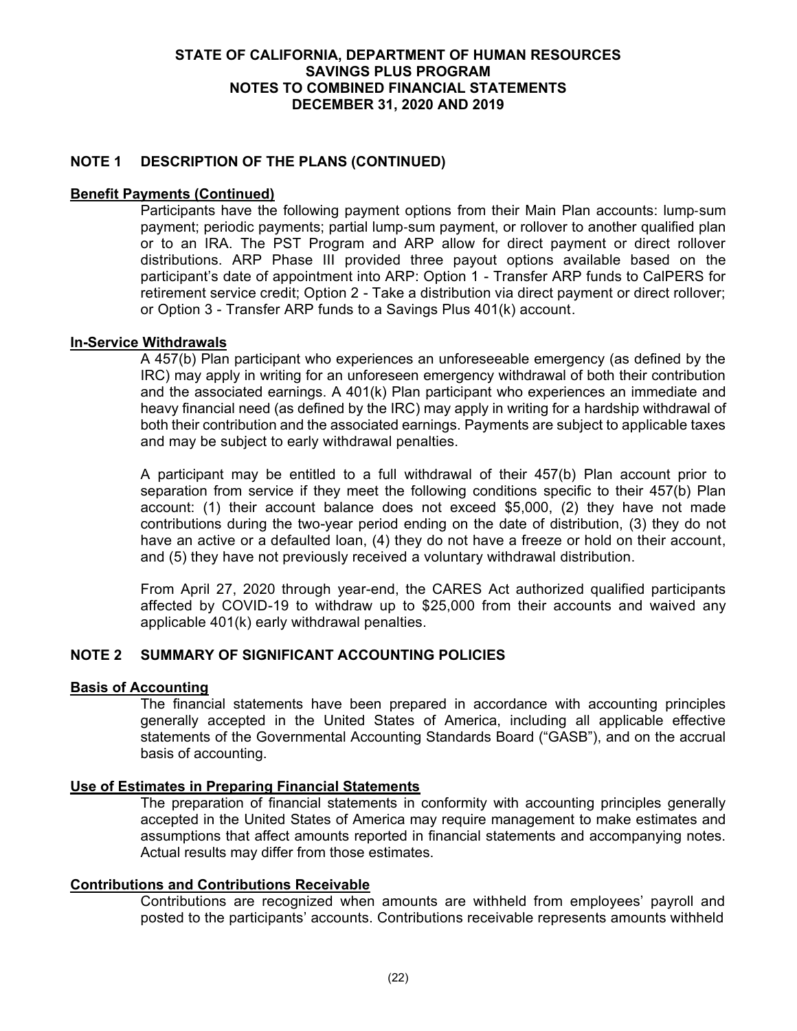# **NOTE 1 DESCRIPTION OF THE PLANS (CONTINUED)**

### **Benefit Payments (Continued)**

Participants have the following payment options from their Main Plan accounts: lump‐sum payment; periodic payments; partial lump‐sum payment, or rollover to another qualified plan or to an IRA. The PST Program and ARP allow for direct payment or direct rollover distributions. ARP Phase III provided three payout options available based on the participant's date of appointment into ARP: Option 1 - Transfer ARP funds to CalPERS for retirement service credit; Option 2 - Take a distribution via direct payment or direct rollover; or Option 3 - Transfer ARP funds to a Savings Plus 401(k) account.

### **In-Service Withdrawals**

A 457(b) Plan participant who experiences an unforeseeable emergency (as defined by the IRC) may apply in writing for an unforeseen emergency withdrawal of both their contribution and the associated earnings. A 401(k) Plan participant who experiences an immediate and heavy financial need (as defined by the IRC) may apply in writing for a hardship withdrawal of both their contribution and the associated earnings. Payments are subject to applicable taxes and may be subject to early withdrawal penalties.

A participant may be entitled to a full withdrawal of their 457(b) Plan account prior to separation from service if they meet the following conditions specific to their 457(b) Plan account: (1) their account balance does not exceed \$5,000, (2) they have not made contributions during the two-year period ending on the date of distribution, (3) they do not have an active or a defaulted loan, (4) they do not have a freeze or hold on their account, and (5) they have not previously received a voluntary withdrawal distribution.

From April 27, 2020 through year-end, the CARES Act authorized qualified participants affected by COVID-19 to withdraw up to \$25,000 from their accounts and waived any applicable 401(k) early withdrawal penalties.

# **NOTE 2 SUMMARY OF SIGNIFICANT ACCOUNTING POLICIES**

### **Basis of Accounting**

The financial statements have been prepared in accordance with accounting principles generally accepted in the United States of America, including all applicable effective statements of the Governmental Accounting Standards Board ("GASB"), and on the accrual basis of accounting.

#### **Use of Estimates in Preparing Financial Statements**

The preparation of financial statements in conformity with accounting principles generally accepted in the United States of America may require management to make estimates and assumptions that affect amounts reported in financial statements and accompanying notes. Actual results may differ from those estimates.

#### **Contributions and Contributions Receivable**

Contributions are recognized when amounts are withheld from employees' payroll and posted to the participants' accounts. Contributions receivable represents amounts withheld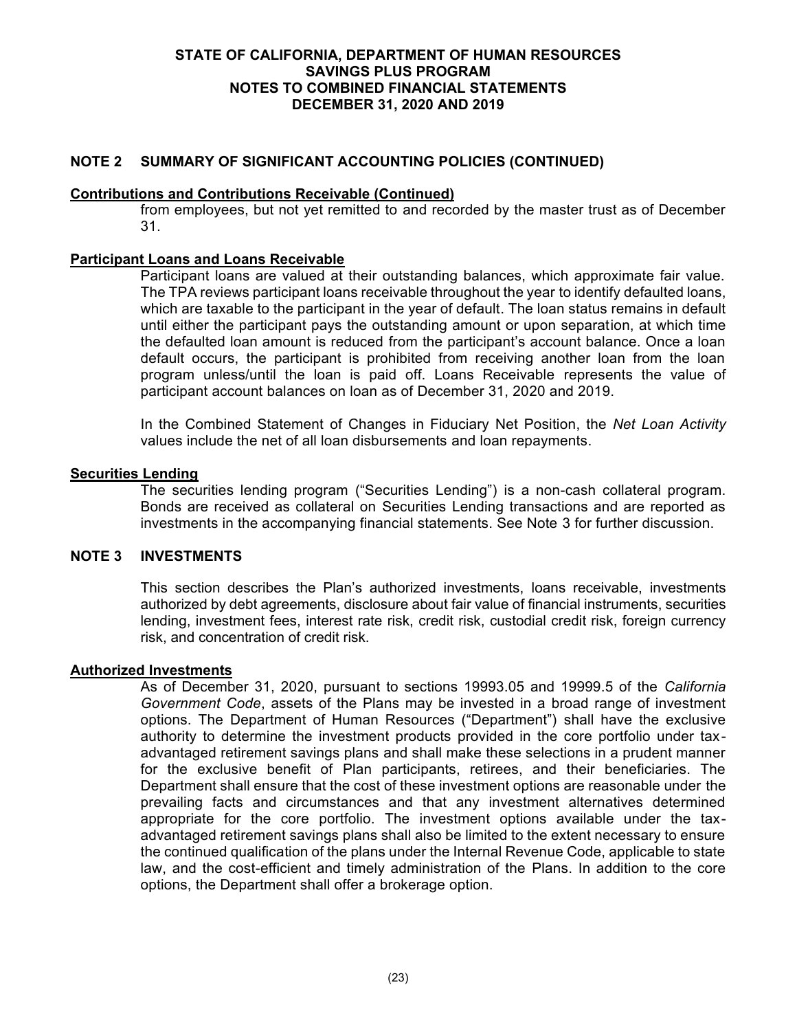# **NOTE 2 SUMMARY OF SIGNIFICANT ACCOUNTING POLICIES (CONTINUED)**

### **Contributions and Contributions Receivable (Continued)**

from employees, but not yet remitted to and recorded by the master trust as of December 31.

### **Participant Loans and Loans Receivable**

Participant loans are valued at their outstanding balances, which approximate fair value. The TPA reviews participant loans receivable throughout the year to identify defaulted loans, which are taxable to the participant in the year of default. The loan status remains in default until either the participant pays the outstanding amount or upon separation, at which time the defaulted loan amount is reduced from the participant's account balance. Once a loan default occurs, the participant is prohibited from receiving another loan from the loan program unless/until the loan is paid off. Loans Receivable represents the value of participant account balances on loan as of December 31, 2020 and 2019.

In the Combined Statement of Changes in Fiduciary Net Position, the *Net Loan Activity* values include the net of all loan disbursements and loan repayments.

#### **Securities Lending**

The securities lending program ("Securities Lending") is a non-cash collateral program. Bonds are received as collateral on Securities Lending transactions and are reported as investments in the accompanying financial statements. See Note 3 for further discussion.

### **NOTE 3 INVESTMENTS**

This section describes the Plan's authorized investments, loans receivable, investments authorized by debt agreements, disclosure about fair value of financial instruments, securities lending, investment fees, interest rate risk, credit risk, custodial credit risk, foreign currency risk, and concentration of credit risk.

### **Authorized Investments**

As of December 31, 2020, pursuant to sections 19993.05 and 19999.5 of the *California Government Code*, assets of the Plans may be invested in a broad range of investment options. The Department of Human Resources ("Department") shall have the exclusive authority to determine the investment products provided in the core portfolio under taxadvantaged retirement savings plans and shall make these selections in a prudent manner for the exclusive benefit of Plan participants, retirees, and their beneficiaries. The Department shall ensure that the cost of these investment options are reasonable under the prevailing facts and circumstances and that any investment alternatives determined appropriate for the core portfolio. The investment options available under the taxadvantaged retirement savings plans shall also be limited to the extent necessary to ensure the continued qualification of the plans under the Internal Revenue Code, applicable to state law, and the cost-efficient and timely administration of the Plans. In addition to the core options, the Department shall offer a brokerage option.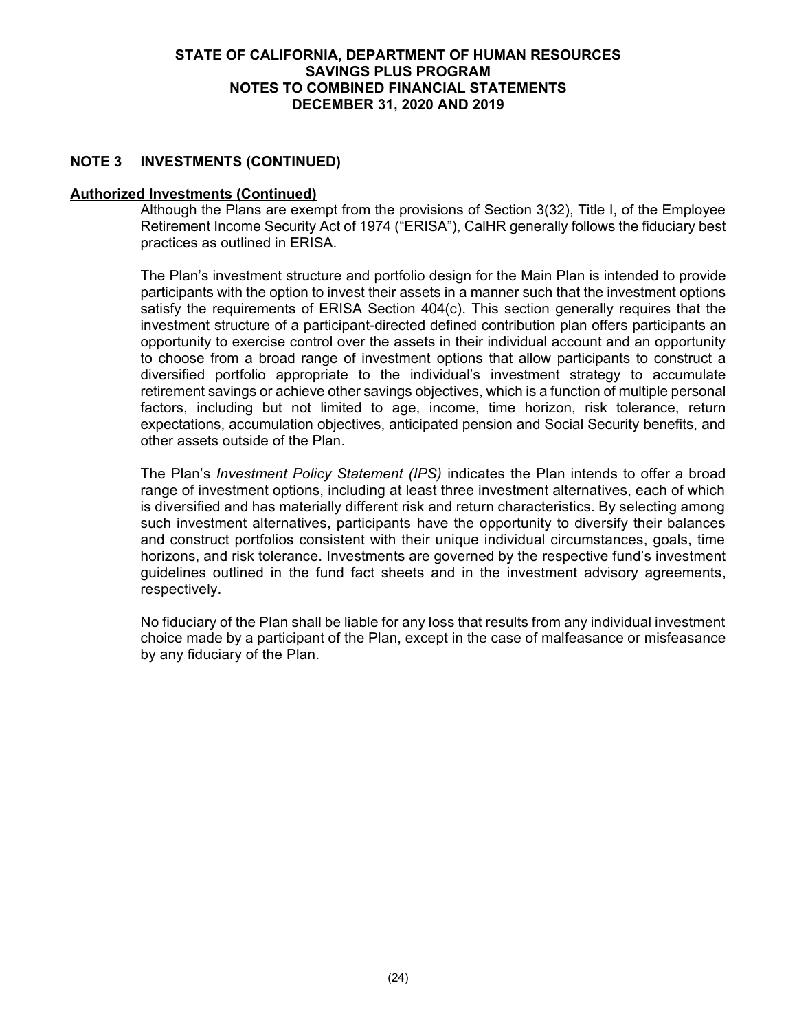# **NOTE 3 INVESTMENTS (CONTINUED)**

#### **Authorized Investments (Continued)**

Although the Plans are exempt from the provisions of Section 3(32), Title I, of the Employee Retirement Income Security Act of 1974 ("ERISA"), CalHR generally follows the fiduciary best practices as outlined in ERISA.

The Plan's investment structure and portfolio design for the Main Plan is intended to provide participants with the option to invest their assets in a manner such that the investment options satisfy the requirements of ERISA Section 404(c). This section generally requires that the investment structure of a participant-directed defined contribution plan offers participants an opportunity to exercise control over the assets in their individual account and an opportunity to choose from a broad range of investment options that allow participants to construct a diversified portfolio appropriate to the individual's investment strategy to accumulate retirement savings or achieve other savings objectives, which is a function of multiple personal factors, including but not limited to age, income, time horizon, risk tolerance, return expectations, accumulation objectives, anticipated pension and Social Security benefits, and other assets outside of the Plan.

The Plan's *Investment Policy Statement (IPS)* indicates the Plan intends to offer a broad range of investment options, including at least three investment alternatives, each of which is diversified and has materially different risk and return characteristics. By selecting among such investment alternatives, participants have the opportunity to diversify their balances and construct portfolios consistent with their unique individual circumstances, goals, time horizons, and risk tolerance. Investments are governed by the respective fund's investment guidelines outlined in the fund fact sheets and in the investment advisory agreements, respectively.

No fiduciary of the Plan shall be liable for any loss that results from any individual investment choice made by a participant of the Plan, except in the case of malfeasance or misfeasance by any fiduciary of the Plan.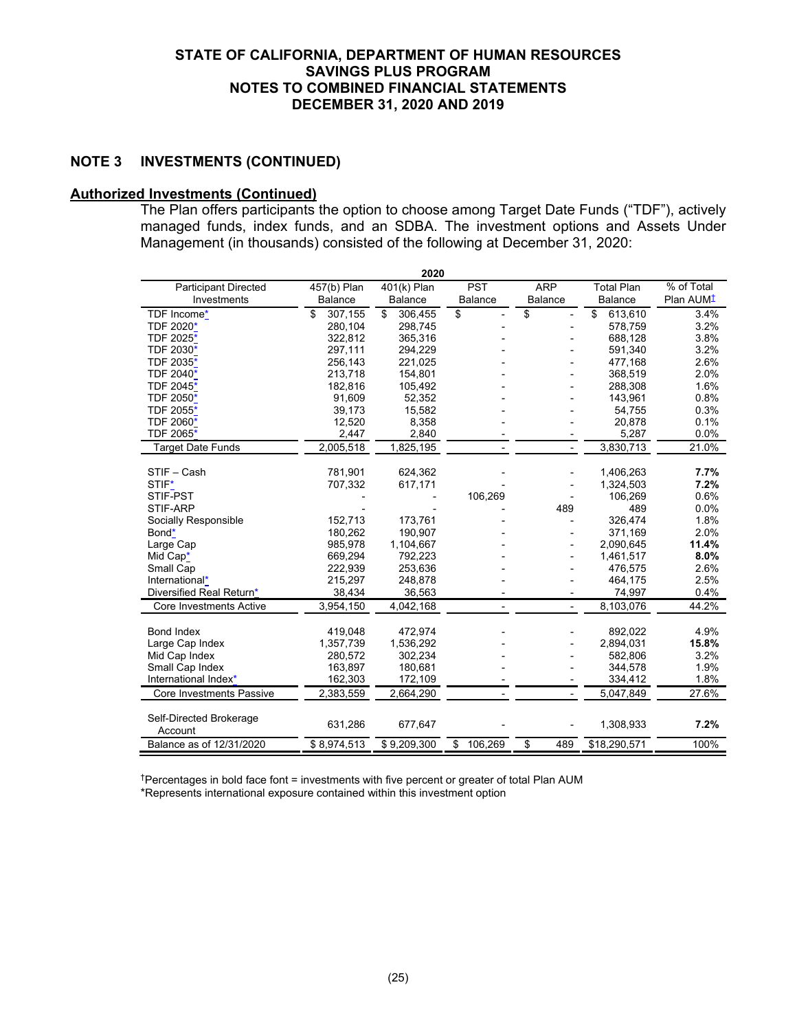# **NOTE 3 INVESTMENTS (CONTINUED)**

#### **Authorized Investments (Continued)**

The Plan offers participants the option to choose among Target Date Funds ("TDF"), actively managed funds, index funds, and an SDBA. The investment options and Assets Under Management (in thousands) consisted of the following at December 31, 2020:

| 2020                               |               |                |                |                |                   |                       |  |  |
|------------------------------------|---------------|----------------|----------------|----------------|-------------------|-----------------------|--|--|
| <b>Participant Directed</b>        | 457(b) Plan   | 401(k) Plan    | <b>PST</b>     | <b>ARP</b>     | <b>Total Plan</b> | % of Total            |  |  |
| Investments                        | Balance       | <b>Balance</b> | <b>Balance</b> | <b>Balance</b> | Balance           | Plan AUM <sup>1</sup> |  |  |
| TDF Income*                        | 307,155<br>\$ | 306,455<br>\$  | \$             | \$             | \$<br>613,610     | 3.4%                  |  |  |
| TDF 2020*                          | 280,104       | 298,745        |                |                | 578,759           | 3.2%                  |  |  |
| TDF 2025*                          | 322,812       | 365,316        |                |                | 688,128           | 3.8%                  |  |  |
| TDF 2030*                          | 297,111       | 294,229        |                |                | 591,340           | 3.2%                  |  |  |
| TDF 2035*                          | 256,143       | 221,025        |                |                | 477,168           | 2.6%                  |  |  |
| TDF 2040*                          | 213,718       | 154,801        |                |                | 368,519           | 2.0%                  |  |  |
| TDF 2045*                          | 182,816       | 105,492        |                |                | 288,308           | 1.6%                  |  |  |
| TDF 2050*                          | 91,609        | 52,352         |                |                | 143,961           | 0.8%                  |  |  |
| TDF 2055*                          | 39,173        | 15,582         |                |                | 54,755            | 0.3%                  |  |  |
| TDF 2060*                          | 12,520        | 8,358          |                |                | 20,878            | 0.1%                  |  |  |
| TDF 2065*                          | 2,447         | 2,840          |                |                | 5,287             | 0.0%                  |  |  |
| <b>Target Date Funds</b>           | 2,005,518     | 1,825,195      |                |                | 3,830,713         | 21.0%                 |  |  |
|                                    |               |                |                |                |                   |                       |  |  |
| STIF-Cash                          | 781,901       | 624,362        |                |                | 1,406,263         | 7.7%                  |  |  |
| STIF*                              | 707,332       | 617,171        |                |                | 1,324,503         | 7.2%                  |  |  |
| STIF-PST                           |               |                | 106,269        |                | 106,269           | 0.6%                  |  |  |
| <b>STIF-ARP</b>                    |               |                |                | 489            | 489               | 0.0%                  |  |  |
| Socially Responsible               | 152,713       | 173,761        |                |                | 326,474           | 1.8%                  |  |  |
| Bond*                              | 180,262       | 190,907        |                |                | 371,169           | 2.0%                  |  |  |
| Large Cap                          | 985,978       | 1,104,667      |                |                | 2,090,645         | 11.4%                 |  |  |
| Mid Cap*                           | 669,294       | 792,223        |                |                | 1,461,517         | 8.0%                  |  |  |
| Small Cap                          | 222,939       | 253,636        |                |                | 476,575           | 2.6%                  |  |  |
| International*                     | 215,297       | 248,878        |                |                | 464,175           | 2.5%                  |  |  |
| Diversified Real Return*           | 38,434        | 36,563         |                |                | 74,997            | 0.4%                  |  |  |
| <b>Core Investments Active</b>     | 3,954,150     | 4,042,168      |                |                | 8,103,076         | 44.2%                 |  |  |
|                                    |               |                |                |                |                   |                       |  |  |
| <b>Bond Index</b>                  | 419,048       | 472,974        |                |                | 892,022           | 4.9%                  |  |  |
| Large Cap Index                    | 1,357,739     | 1,536,292      |                |                | 2,894,031         | 15.8%                 |  |  |
| Mid Cap Index                      | 280,572       | 302,234        |                |                | 582,806           | 3.2%                  |  |  |
| Small Cap Index                    | 163,897       | 180,681        |                |                | 344,578           | 1.9%                  |  |  |
| International Index*               | 162,303       | 172,109        |                |                | 334,412           | 1.8%                  |  |  |
| Core Investments Passive           | 2,383,559     | 2,664,290      |                |                | 5,047,849         | 27.6%                 |  |  |
| Self-Directed Brokerage<br>Account | 631,286       | 677,647        |                |                | 1,308,933         | 7.2%                  |  |  |
| Balance as of 12/31/2020           | \$8,974,513   | \$9,209,300    | \$<br>106,269  | \$<br>489      | \$18,290,571      | 100%                  |  |  |

<span id="page-26-1"></span><span id="page-26-0"></span>†Percentages in bold face font = investments with five percent or greater of total Plan AUM \*Represents international exposure contained within this investment option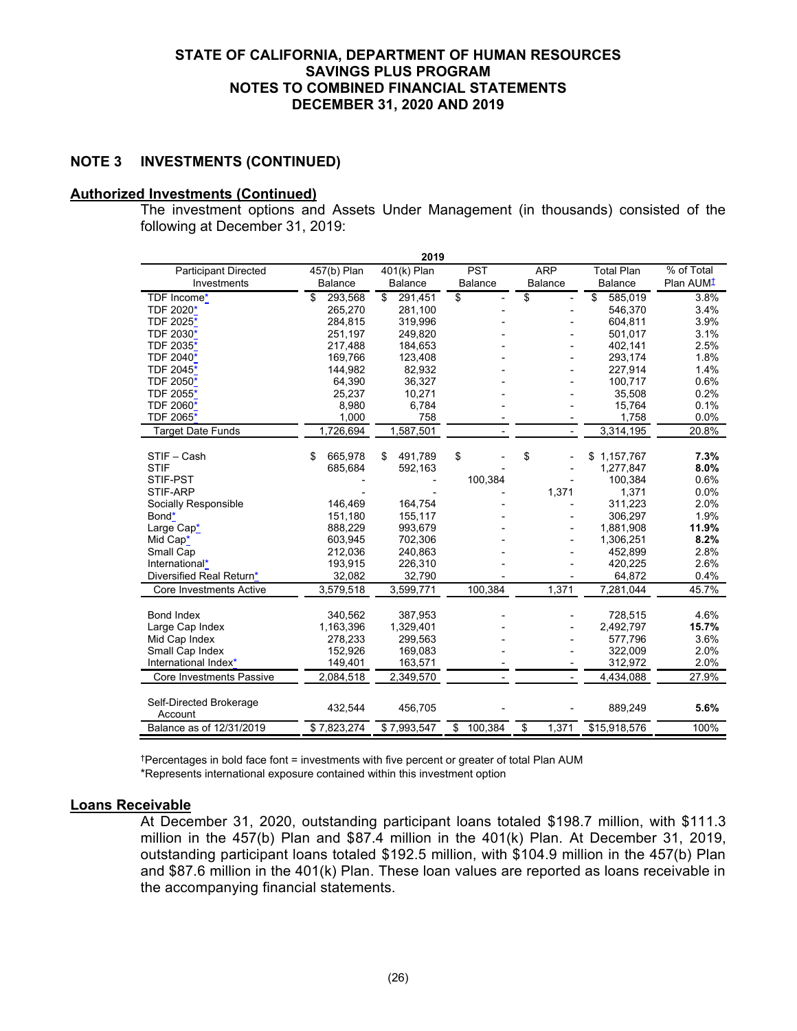### **NOTE 3 INVESTMENTS (CONTINUED)**

### **Authorized Investments (Continued)**

The investment options and Assets Under Management (in thousands) consisted of the following at December 31, 2019:

| 2019                               |               |               |                |                |                   |                       |  |  |  |  |  |  |
|------------------------------------|---------------|---------------|----------------|----------------|-------------------|-----------------------|--|--|--|--|--|--|
| <b>Participant Directed</b>        | 457(b) Plan   | 401(k) Plan   | <b>PST</b>     | <b>ARP</b>     | <b>Total Plan</b> | % of Total            |  |  |  |  |  |  |
| Investments                        | Balance       | Balance       | <b>Balance</b> | <b>Balance</b> | Balance           | Plan AUM <sup>1</sup> |  |  |  |  |  |  |
| TDF Income*                        | \$<br>293,568 | 291,451<br>\$ | \$             | \$<br>٠        | \$<br>585,019     | 3.8%                  |  |  |  |  |  |  |
| TDF 2020*                          | 265,270       | 281,100       |                |                | 546,370           | 3.4%                  |  |  |  |  |  |  |
| TDF 2025*                          | 284,815       | 319,996       |                |                | 604,811           | 3.9%                  |  |  |  |  |  |  |
| TDF 2030*                          | 251,197       | 249,820       |                |                | 501,017           | 3.1%                  |  |  |  |  |  |  |
| TDF 2035*                          | 217,488       | 184,653       |                |                | 402,141           | 2.5%                  |  |  |  |  |  |  |
| TDF 2040*                          | 169,766       | 123,408       |                |                | 293,174           | 1.8%                  |  |  |  |  |  |  |
| TDF 2045*                          | 144,982       | 82,932        |                |                | 227,914           | 1.4%                  |  |  |  |  |  |  |
| TDF 2050*                          | 64,390        | 36,327        |                |                | 100,717           | 0.6%                  |  |  |  |  |  |  |
| TDF 2055*                          | 25,237        | 10,271        |                |                | 35,508            | 0.2%                  |  |  |  |  |  |  |
| TDF 2060*                          | 8,980         | 6,784         |                |                | 15,764            | 0.1%                  |  |  |  |  |  |  |
| TDF 2065*                          | 1,000         | 758           |                |                | 1,758             | 0.0%                  |  |  |  |  |  |  |
| <b>Target Date Funds</b>           | 1,726,694     | 1,587,501     | $\blacksquare$ |                | 3,314,195         | 20.8%                 |  |  |  |  |  |  |
|                                    |               |               |                |                |                   |                       |  |  |  |  |  |  |
| STIF-Cash                          | 665,978<br>\$ | \$<br>491,789 | \$             | \$             | \$1,157,767       | 7.3%                  |  |  |  |  |  |  |
| <b>STIF</b>                        | 685,684       | 592,163       |                |                | 1,277,847         | 8.0%                  |  |  |  |  |  |  |
| STIF-PST                           |               |               | 100,384        |                | 100,384           | 0.6%                  |  |  |  |  |  |  |
| STIF-ARP                           |               |               |                | 1,371          | 1.371             | 0.0%                  |  |  |  |  |  |  |
| Socially Responsible               | 146,469       | 164,754       |                |                | 311,223           | 2.0%                  |  |  |  |  |  |  |
| Bond*                              | 151,180       | 155,117       |                |                | 306,297           | 1.9%                  |  |  |  |  |  |  |
| Large Cap*                         | 888,229       | 993,679       |                |                | 1,881,908         | 11.9%                 |  |  |  |  |  |  |
| Mid Cap*                           | 603,945       | 702,306       |                |                | 1,306,251         | 8.2%                  |  |  |  |  |  |  |
| Small Cap                          | 212,036       | 240,863       |                |                | 452,899           | 2.8%                  |  |  |  |  |  |  |
| International*                     | 193,915       | 226,310       |                |                | 420,225           | 2.6%                  |  |  |  |  |  |  |
| Diversified Real Return*           | 32,082        | 32,790        |                |                | 64,872            | 0.4%                  |  |  |  |  |  |  |
| <b>Core Investments Active</b>     | 3,579,518     | 3,599,771     | 100,384        | 1,371          | 7,281,044         | 45.7%                 |  |  |  |  |  |  |
| <b>Bond Index</b>                  | 340,562       | 387,953       |                |                | 728,515           | 4.6%                  |  |  |  |  |  |  |
| Large Cap Index                    | 1,163,396     | 1,329,401     |                |                | 2,492,797         | 15.7%                 |  |  |  |  |  |  |
| Mid Cap Index                      | 278,233       | 299,563       |                |                | 577,796           | 3.6%                  |  |  |  |  |  |  |
| Small Cap Index                    | 152,926       | 169,083       |                |                | 322,009           | 2.0%                  |  |  |  |  |  |  |
| International Index*               | 149,401       | 163,571       |                |                | 312,972           | 2.0%                  |  |  |  |  |  |  |
|                                    |               |               |                |                |                   |                       |  |  |  |  |  |  |
| Core Investments Passive           | 2,084,518     | 2,349,570     |                |                | 4,434,088         | 27.9%                 |  |  |  |  |  |  |
| Self-Directed Brokerage<br>Account | 432,544       | 456,705       |                |                | 889,249           | 5.6%                  |  |  |  |  |  |  |
| Balance as of 12/31/2019           | \$7,823,274   | \$7,993,547   | \$100,384      | 1,371<br>\$    | \$15,918,576      | 100%                  |  |  |  |  |  |  |

†Percentages in bold face font = investments with five percent or greater of total Plan AUM \*Represents international exposure contained within this investment option

### <span id="page-27-1"></span><span id="page-27-0"></span>**Loans Receivable**

At December 31, 2020, outstanding participant loans totaled \$198.7 million, with \$111.3 million in the 457(b) Plan and \$87.4 million in the 401(k) Plan. At December 31, 2019, outstanding participant loans totaled \$192.5 million, with \$104.9 million in the 457(b) Plan and \$87.6 million in the 401(k) Plan. These loan values are reported as loans receivable in the accompanying financial statements.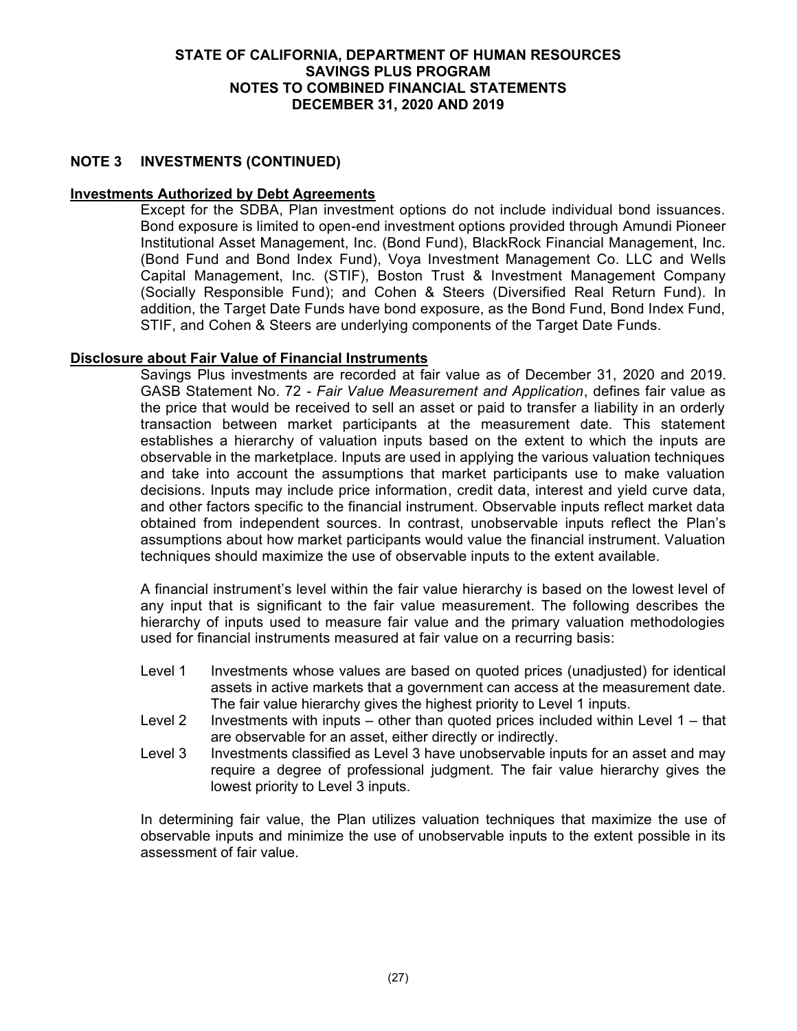# **NOTE 3 INVESTMENTS (CONTINUED)**

## **Investments Authorized by Debt Agreements**

Except for the SDBA, Plan investment options do not include individual bond issuances. Bond exposure is limited to open-end investment options provided through Amundi Pioneer Institutional Asset Management, Inc. (Bond Fund), BlackRock Financial Management, Inc. (Bond Fund and Bond Index Fund), Voya Investment Management Co. LLC and Wells Capital Management, Inc. (STIF), Boston Trust & Investment Management Company (Socially Responsible Fund); and Cohen & Steers (Diversified Real Return Fund). In addition, the Target Date Funds have bond exposure, as the Bond Fund, Bond Index Fund, STIF, and Cohen & Steers are underlying components of the Target Date Funds.

### **Disclosure about Fair Value of Financial Instruments**

Savings Plus investments are recorded at fair value as of December 31, 2020 and 2019. GASB Statement No. 72 - *Fair Value Measurement and Application*, defines fair value as the price that would be received to sell an asset or paid to transfer a liability in an orderly transaction between market participants at the measurement date. This statement establishes a hierarchy of valuation inputs based on the extent to which the inputs are observable in the marketplace. Inputs are used in applying the various valuation techniques and take into account the assumptions that market participants use to make valuation decisions. Inputs may include price information, credit data, interest and yield curve data, and other factors specific to the financial instrument. Observable inputs reflect market data obtained from independent sources. In contrast, unobservable inputs reflect the Plan's assumptions about how market participants would value the financial instrument. Valuation techniques should maximize the use of observable inputs to the extent available.

A financial instrument's level within the fair value hierarchy is based on the lowest level of any input that is significant to the fair value measurement. The following describes the hierarchy of inputs used to measure fair value and the primary valuation methodologies used for financial instruments measured at fair value on a recurring basis:

- Level 1 Investments whose values are based on quoted prices (unadjusted) for identical assets in active markets that a government can access at the measurement date. The fair value hierarchy gives the highest priority to Level 1 inputs.
- Level 2 Investments with inputs other than quoted prices included within Level 1 that are observable for an asset, either directly or indirectly.
- Level 3 Investments classified as Level 3 have unobservable inputs for an asset and may require a degree of professional judgment. The fair value hierarchy gives the lowest priority to Level 3 inputs.

In determining fair value, the Plan utilizes valuation techniques that maximize the use of observable inputs and minimize the use of unobservable inputs to the extent possible in its assessment of fair value.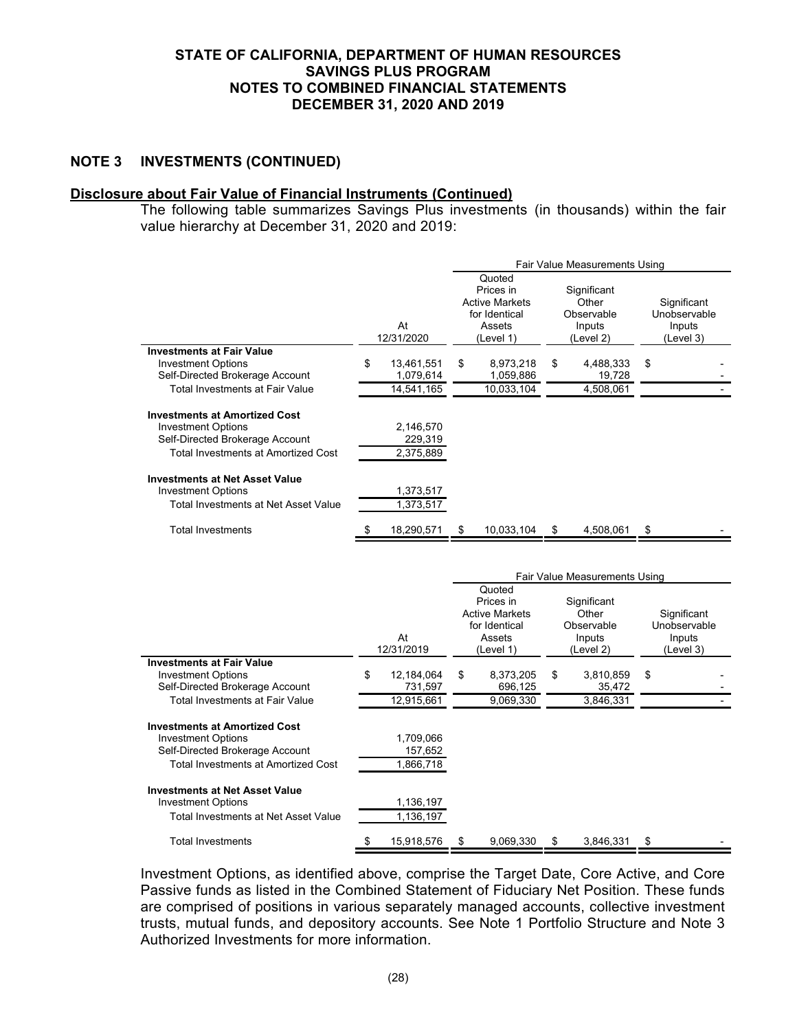# **NOTE 3 INVESTMENTS (CONTINUED)**

### **Disclosure about Fair Value of Financial Instruments (Continued)**

The following table summarizes Savings Plus investments (in thousands) within the fair value hierarchy at December 31, 2020 and 2019:

|                                                                                                                                                    |                                   | Fair Value Measurements Using                                                                                                                     |            |    |           |    |                                                    |
|----------------------------------------------------------------------------------------------------------------------------------------------------|-----------------------------------|---------------------------------------------------------------------------------------------------------------------------------------------------|------------|----|-----------|----|----------------------------------------------------|
|                                                                                                                                                    | At<br>12/31/2020                  | Quoted<br>Prices in<br>Significant<br><b>Active Markets</b><br>Other<br>for Identical<br>Observable<br>Assets<br>Inputs<br>(Level 1)<br>(Level 2) |            |    |           |    | Significant<br>Unobservable<br>Inputs<br>(Level 3) |
| <b>Investments at Fair Value</b>                                                                                                                   |                                   |                                                                                                                                                   |            |    |           |    |                                                    |
| <b>Investment Options</b>                                                                                                                          | \$<br>13,461,551                  | \$                                                                                                                                                | 8,973,218  | \$ | 4.488,333 | \$ |                                                    |
| Self-Directed Brokerage Account                                                                                                                    | 1,079,614                         |                                                                                                                                                   | 1,059,886  |    | 19,728    |    |                                                    |
| <b>Total Investments at Fair Value</b>                                                                                                             | 14,541,165                        |                                                                                                                                                   | 10,033,104 |    | 4,508,061 |    |                                                    |
| <b>Investments at Amortized Cost</b><br><b>Investment Options</b><br>Self-Directed Brokerage Account<br><b>Total Investments at Amortized Cost</b> | 2,146,570<br>229,319<br>2,375,889 |                                                                                                                                                   |            |    |           |    |                                                    |
| <b>Investments at Net Asset Value</b><br><b>Investment Options</b><br>Total Investments at Net Asset Value                                         | 1,373,517<br>1,373,517            |                                                                                                                                                   |            |    |           |    |                                                    |
|                                                                                                                                                    |                                   |                                                                                                                                                   |            |    |           |    |                                                    |
| <b>Total Investments</b>                                                                                                                           | 18,290,571                        | S                                                                                                                                                 | 10,033,104 | \$ | 4.508.061 | \$ |                                                    |

|                                                                                                                                             |    |                                   |    | Fair Value Measurements Using                                                        |                                                           |                                                    |  |  |
|---------------------------------------------------------------------------------------------------------------------------------------------|----|-----------------------------------|----|--------------------------------------------------------------------------------------|-----------------------------------------------------------|----------------------------------------------------|--|--|
|                                                                                                                                             |    | At<br>12/31/2019                  |    | Quoted<br>Prices in<br><b>Active Markets</b><br>for Identical<br>Assets<br>(Level 1) | Significant<br>Other<br>Observable<br>Inputs<br>(Level 2) | Significant<br>Unobservable<br>Inputs<br>(Level 3) |  |  |
| <b>Investments at Fair Value</b>                                                                                                            |    |                                   |    |                                                                                      |                                                           |                                                    |  |  |
| <b>Investment Options</b>                                                                                                                   | \$ | 12,184,064                        | \$ | 8,373,205                                                                            | \$<br>3,810,859                                           | \$                                                 |  |  |
| Self-Directed Brokerage Account                                                                                                             |    | 731,597                           |    | 696,125                                                                              | 35,472                                                    |                                                    |  |  |
| Total Investments at Fair Value                                                                                                             |    | 12,915,661                        |    | 9,069,330                                                                            | 3,846,331                                                 |                                                    |  |  |
| <b>Investments at Amortized Cost</b><br><b>Investment Options</b><br>Self-Directed Brokerage Account<br>Total Investments at Amortized Cost |    | 1,709,066<br>157,652<br>1,866,718 |    |                                                                                      |                                                           |                                                    |  |  |
| <b>Investments at Net Asset Value</b><br><b>Investment Options</b>                                                                          |    | 1,136,197                         |    |                                                                                      |                                                           |                                                    |  |  |
| Total Investments at Net Asset Value                                                                                                        |    | 1,136,197                         |    |                                                                                      |                                                           |                                                    |  |  |
| <b>Total Investments</b>                                                                                                                    | S  | 15,918,576                        | S  | 9.069.330                                                                            | \$<br>3.846.331                                           | \$                                                 |  |  |

Investment Options, as identified above, comprise the Target Date, Core Active, and Core Passive funds as listed in the Combined Statement of Fiduciary Net Position. These funds are comprised of positions in various separately managed accounts, collective investment trusts, mutual funds, and depository accounts. See Note 1 Portfolio Structure and Note 3 Authorized Investments for more information.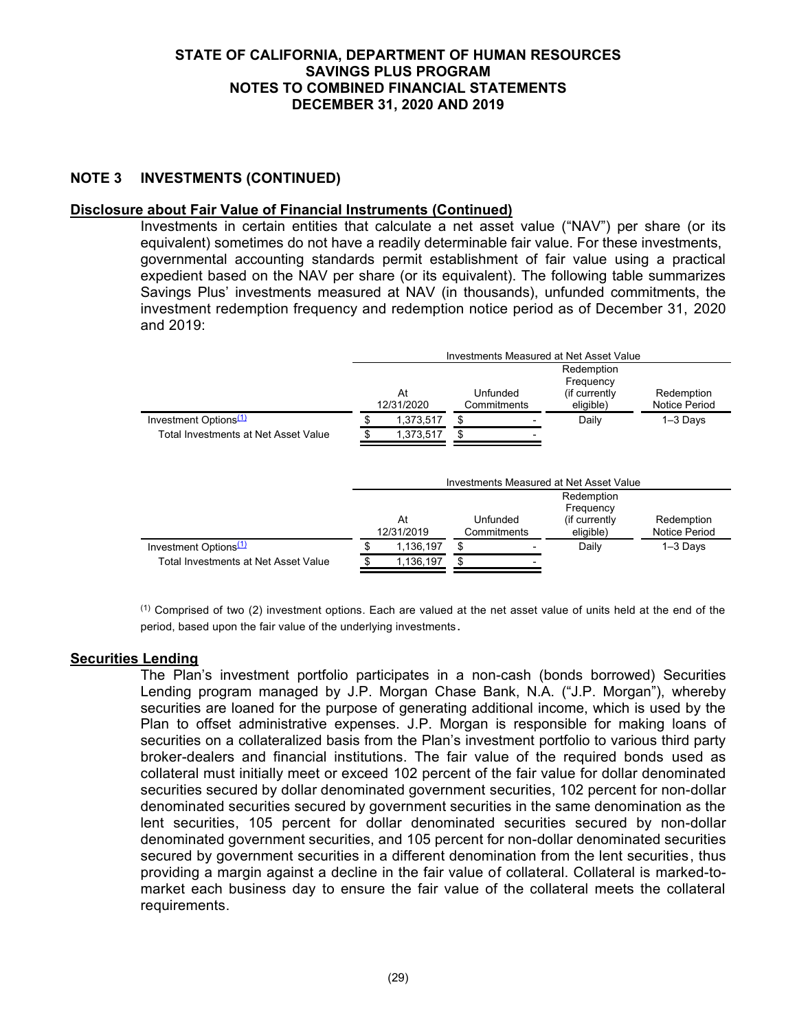# **NOTE 3 INVESTMENTS (CONTINUED)**

### **Disclosure about Fair Value of Financial Instruments (Continued)**

Investments in certain entities that calculate a net asset value ("NAV") per share (or its equivalent) sometimes do not have a readily determinable fair value. For these investments, governmental accounting standards permit establishment of fair value using a practical expedient based on the NAV per share (or its equivalent). The following table summarizes Savings Plus' investments measured at NAV (in thousands), unfunded commitments, the investment redemption frequency and redemption notice period as of December 31, 2020 and 2019:

|                                      |                                                                                                                       |  |                                         |                                                       | Investments Measured at Net Asset Value |                             |  |  |  |  |  |
|--------------------------------------|-----------------------------------------------------------------------------------------------------------------------|--|-----------------------------------------|-------------------------------------------------------|-----------------------------------------|-----------------------------|--|--|--|--|--|
|                                      | At<br>12/31/2020<br>1,373,517<br>S<br>£.<br>1,373,517<br>At<br>12/31/2019<br>\$<br>1,136,197<br>\$<br>1,136,197<br>\$ |  | Unfunded<br>Commitments                 | Redemption<br>Frequency<br>(if currently<br>eligible) | Redemption<br>Notice Period             |                             |  |  |  |  |  |
| Investment Options <sup>(1)</sup>    |                                                                                                                       |  |                                         |                                                       | Daily                                   | $1-3$ Days                  |  |  |  |  |  |
| Total Investments at Net Asset Value |                                                                                                                       |  |                                         |                                                       |                                         |                             |  |  |  |  |  |
|                                      |                                                                                                                       |  | Investments Measured at Net Asset Value |                                                       |                                         |                             |  |  |  |  |  |
|                                      |                                                                                                                       |  |                                         |                                                       | Redemption<br>Frequency                 |                             |  |  |  |  |  |
|                                      |                                                                                                                       |  | Unfunded<br>Commitments                 |                                                       | (if currently<br>eligible)              | Redemption<br>Notice Period |  |  |  |  |  |
| Investment Options <sup>(1)</sup>    |                                                                                                                       |  |                                         |                                                       | Daily                                   | $1-3$ Days                  |  |  |  |  |  |
| Total Investments at Net Asset Value |                                                                                                                       |  |                                         |                                                       |                                         |                             |  |  |  |  |  |

 $<sup>(1)</sup>$  Comprised of two (2) investment options. Each are valued at the net asset value of units held at the end of the</sup> period, based upon the fair value of the underlying investments.

## <span id="page-30-0"></span>**Securities Lending**

The Plan's investment portfolio participates in a non-cash (bonds borrowed) Securities Lending program managed by J.P. Morgan Chase Bank, N.A. ("J.P. Morgan"), whereby securities are loaned for the purpose of generating additional income, which is used by the Plan to offset administrative expenses. J.P. Morgan is responsible for making loans of securities on a collateralized basis from the Plan's investment portfolio to various third party broker-dealers and financial institutions. The fair value of the required bonds used as collateral must initially meet or exceed 102 percent of the fair value for dollar denominated securities secured by dollar denominated government securities, 102 percent for non-dollar denominated securities secured by government securities in the same denomination as the lent securities, 105 percent for dollar denominated securities secured by non-dollar denominated government securities, and 105 percent for non-dollar denominated securities secured by government securities in a different denomination from the lent securities, thus providing a margin against a decline in the fair value of collateral. Collateral is marked-tomarket each business day to ensure the fair value of the collateral meets the collateral requirements.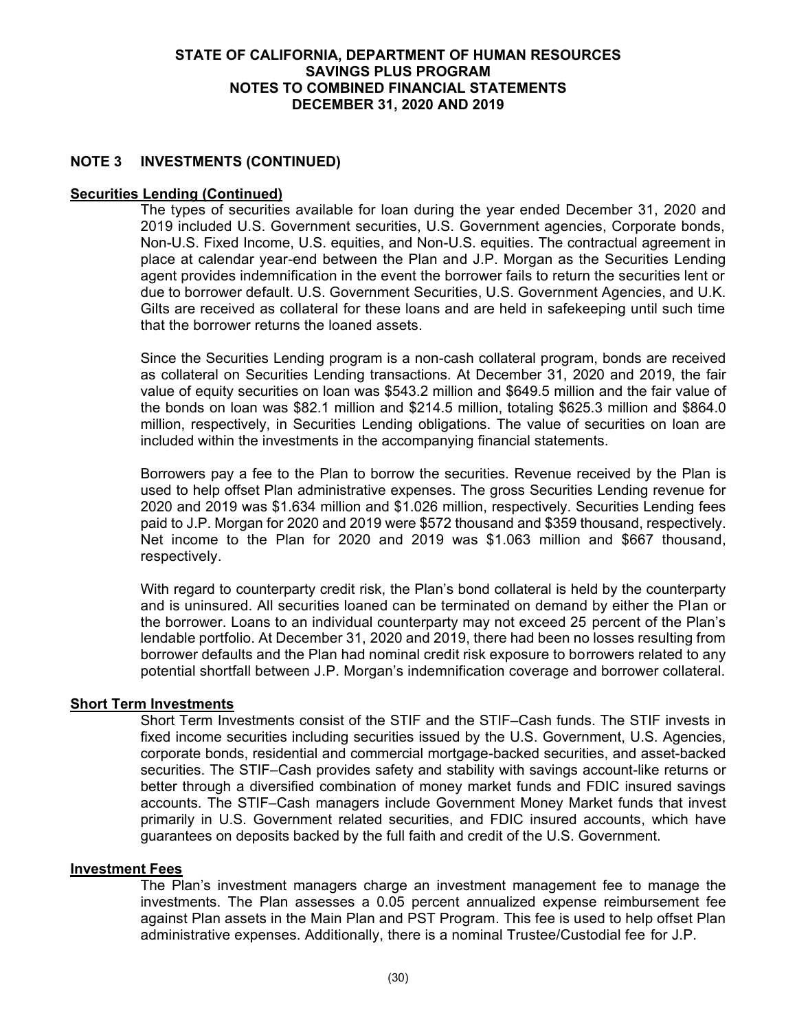# **NOTE 3 INVESTMENTS (CONTINUED)**

#### **Securities Lending (Continued)**

The types of securities available for loan during the year ended December 31, 2020 and 2019 included U.S. Government securities, U.S. Government agencies, Corporate bonds, Non-U.S. Fixed Income, U.S. equities, and Non-U.S. equities. The contractual agreement in place at calendar year-end between the Plan and J.P. Morgan as the Securities Lending agent provides indemnification in the event the borrower fails to return the securities lent or due to borrower default. U.S. Government Securities, U.S. Government Agencies, and U.K. Gilts are received as collateral for these loans and are held in safekeeping until such time that the borrower returns the loaned assets.

Since the Securities Lending program is a non-cash collateral program, bonds are received as collateral on Securities Lending transactions. At December 31, 2020 and 2019, the fair value of equity securities on loan was \$543.2 million and \$649.5 million and the fair value of the bonds on loan was \$82.1 million and \$214.5 million, totaling \$625.3 million and \$864.0 million, respectively, in Securities Lending obligations. The value of securities on loan are included within the investments in the accompanying financial statements.

Borrowers pay a fee to the Plan to borrow the securities. Revenue received by the Plan is used to help offset Plan administrative expenses. The gross Securities Lending revenue for 2020 and 2019 was \$1.634 million and \$1.026 million, respectively. Securities Lending fees paid to J.P. Morgan for 2020 and 2019 were \$572 thousand and \$359 thousand, respectively. Net income to the Plan for 2020 and 2019 was \$1.063 million and \$667 thousand, respectively.

With regard to counterparty credit risk, the Plan's bond collateral is held by the counterparty and is uninsured. All securities loaned can be terminated on demand by either the Plan or the borrower. Loans to an individual counterparty may not exceed 25 percent of the Plan's lendable portfolio. At December 31, 2020 and 2019, there had been no losses resulting from borrower defaults and the Plan had nominal credit risk exposure to borrowers related to any potential shortfall between J.P. Morgan's indemnification coverage and borrower collateral.

## **Short Term Investments**

Short Term Investments consist of the STIF and the STIF–Cash funds. The STIF invests in fixed income securities including securities issued by the U.S. Government, U.S. Agencies, corporate bonds, residential and commercial mortgage-backed securities, and asset-backed securities. The STIF–Cash provides safety and stability with savings account-like returns or better through a diversified combination of money market funds and FDIC insured savings accounts. The STIF–Cash managers include Government Money Market funds that invest primarily in U.S. Government related securities, and FDIC insured accounts, which have guarantees on deposits backed by the full faith and credit of the U.S. Government.

#### **Investment Fees**

The Plan's investment managers charge an investment management fee to manage the investments. The Plan assesses a 0.05 percent annualized expense reimbursement fee against Plan assets in the Main Plan and PST Program. This fee is used to help offset Plan administrative expenses. Additionally, there is a nominal Trustee/Custodial fee for J.P.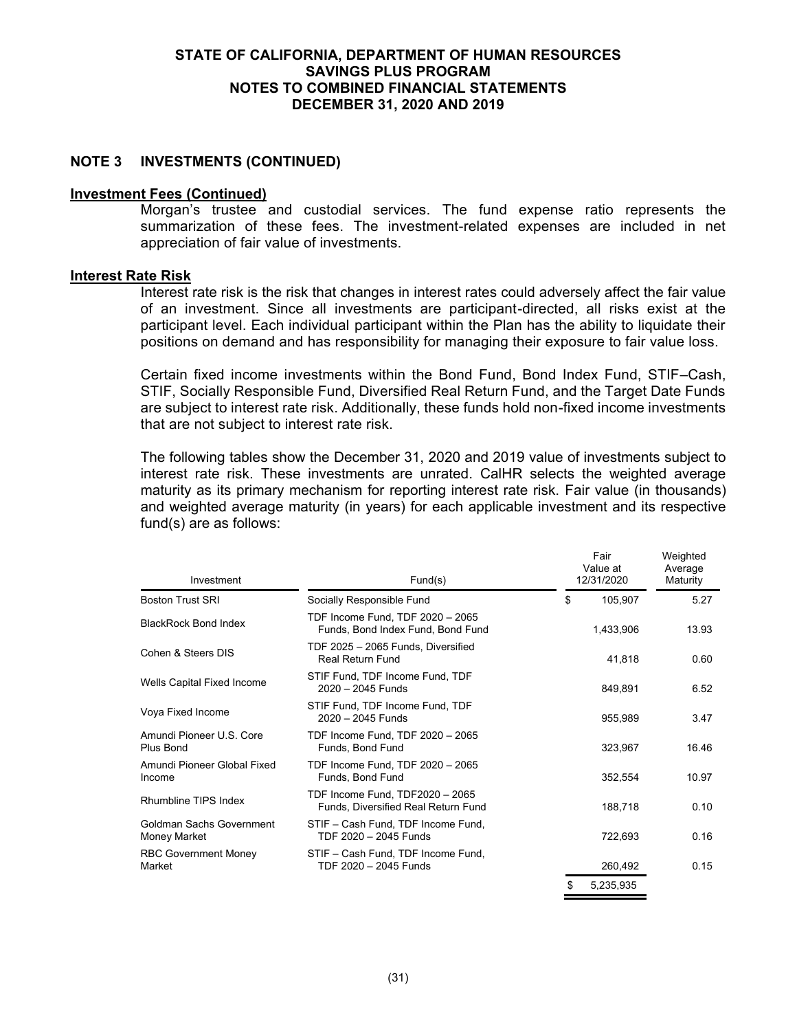### **NOTE 3 INVESTMENTS (CONTINUED)**

#### **Investment Fees (Continued)**

Morgan's trustee and custodial services. The fund expense ratio represents the summarization of these fees. The investment-related expenses are included in net appreciation of fair value of investments.

#### **Interest Rate Risk**

Interest rate risk is the risk that changes in interest rates could adversely affect the fair value of an investment. Since all investments are participant-directed, all risks exist at the participant level. Each individual participant within the Plan has the ability to liquidate their positions on demand and has responsibility for managing their exposure to fair value loss.

Certain fixed income investments within the Bond Fund, Bond Index Fund, STIF–Cash, STIF, Socially Responsible Fund, Diversified Real Return Fund, and the Target Date Funds are subject to interest rate risk. Additionally, these funds hold non-fixed income investments that are not subject to interest rate risk.

The following tables show the December 31, 2020 and 2019 value of investments subject to interest rate risk. These investments are unrated. CalHR selects the weighted average maturity as its primary mechanism for reporting interest rate risk. Fair value (in thousands) and weighted average maturity (in years) for each applicable investment and its respective fund(s) are as follows:

| Investment                               | Fund(s)                                                                | Fair<br>Value at<br>12/31/2020 | Weighted<br>Average<br>Maturity |
|------------------------------------------|------------------------------------------------------------------------|--------------------------------|---------------------------------|
| <b>Boston Trust SRI</b>                  | Socially Responsible Fund                                              | \$<br>105,907                  | 5.27                            |
| <b>BlackRock Bond Index</b>              | TDF Income Fund, TDF 2020 - 2065<br>Funds, Bond Index Fund, Bond Fund  | 1,433,906                      | 13.93                           |
| Cohen & Steers DIS                       | TDF 2025 - 2065 Funds, Diversified<br>Real Return Fund                 | 41,818                         | 0.60                            |
| Wells Capital Fixed Income               | STIF Fund, TDF Income Fund, TDF<br>$2020 - 2045$ Funds                 | 849,891                        | 6.52                            |
| Voya Fixed Income                        | STIF Fund, TDF Income Fund, TDF<br>$2020 - 2045$ Funds                 | 955,989                        | 3.47                            |
| Amundi Pioneer U.S. Core<br>Plus Bond    | TDF Income Fund, TDF 2020 - 2065<br>Funds, Bond Fund                   | 323.967                        | 16.46                           |
| Amundi Pioneer Global Fixed<br>Income    | TDF Income Fund, TDF 2020 - 2065<br>Funds, Bond Fund                   | 352,554                        | 10.97                           |
| Rhumbline TIPS Index                     | TDF Income Fund, TDF2020 - 2065<br>Funds, Diversified Real Return Fund | 188.718                        | 0.10                            |
| Goldman Sachs Government<br>Money Market | STIF - Cash Fund, TDF Income Fund,<br>TDF 2020 - 2045 Funds            | 722.693                        | 0.16                            |
| <b>RBC Government Money</b><br>Market    | STIF - Cash Fund, TDF Income Fund,<br>TDF 2020 - 2045 Funds            | 260,492                        | 0.15                            |
|                                          |                                                                        | \$<br>5,235,935                |                                 |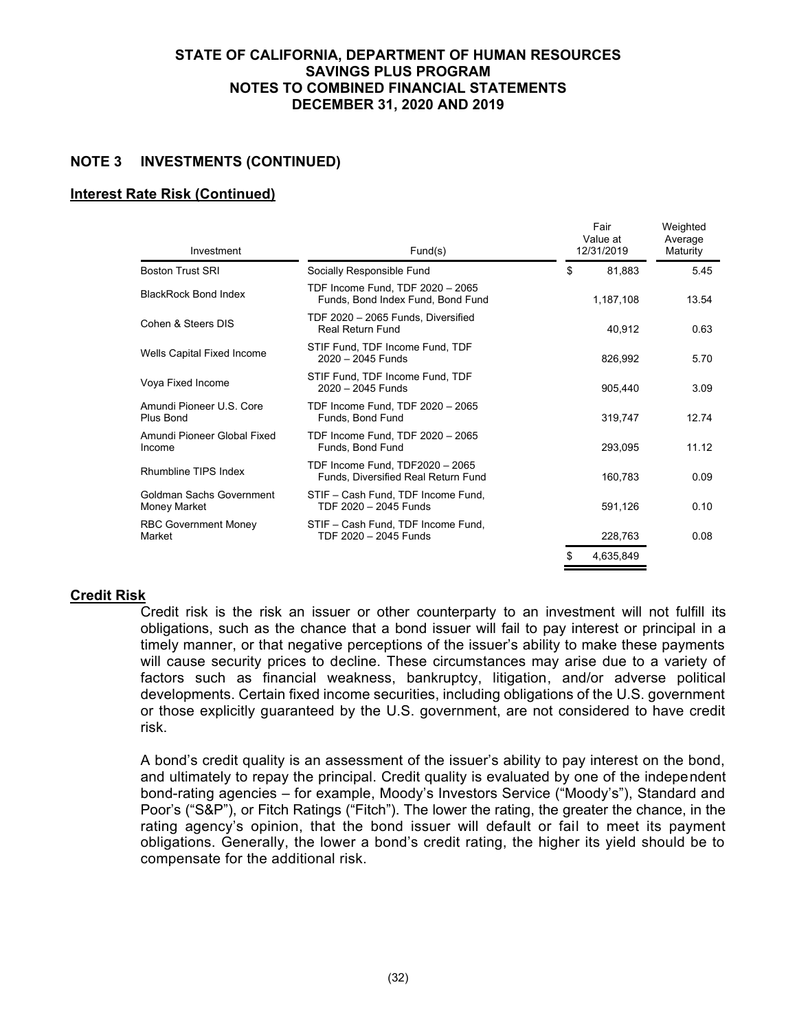# **NOTE 3 INVESTMENTS (CONTINUED)**

# **Interest Rate Risk (Continued)**

| Investment                               | Fund(s)                            | Fair<br>Socially Responsible Fund<br>\$<br>Funds, Bond Index Fund, Bond Fund<br><b>Real Return Fund</b><br>$2020 - 2045$ Funds<br>$2020 - 2045$ Funds<br>Funds, Bond Fund<br>Funds, Bond Fund<br>Funds, Diversified Real Return Fund<br>TDF 2020 - 2045 Funds<br>TDF 2020 - 2045 Funds | Value at<br>12/31/2019 | Weighted<br>Average<br>Maturity |
|------------------------------------------|------------------------------------|----------------------------------------------------------------------------------------------------------------------------------------------------------------------------------------------------------------------------------------------------------------------------------------|------------------------|---------------------------------|
| <b>Boston Trust SRI</b>                  |                                    | 81,883                                                                                                                                                                                                                                                                                 | 5.45                   |                                 |
| <b>BlackRock Bond Index</b>              | TDF Income Fund, TDF 2020 - 2065   |                                                                                                                                                                                                                                                                                        | 1,187,108              | 13.54                           |
| Cohen & Steers DIS                       | TDF 2020 - 2065 Funds, Diversified |                                                                                                                                                                                                                                                                                        | 40,912                 | 0.63                            |
| Wells Capital Fixed Income               | STIF Fund, TDF Income Fund, TDF    |                                                                                                                                                                                                                                                                                        | 826,992                | 5.70                            |
| Voya Fixed Income                        | STIF Fund, TDF Income Fund, TDF    |                                                                                                                                                                                                                                                                                        | 905,440                | 3.09                            |
| Amundi Pioneer U.S. Core<br>Plus Bond    | TDF Income Fund, TDF 2020 - 2065   |                                                                                                                                                                                                                                                                                        | 319,747                | 12.74                           |
| Amundi Pioneer Global Fixed<br>Income    | TDF Income Fund, TDF 2020 - 2065   |                                                                                                                                                                                                                                                                                        | 293,095                | 11.12                           |
| Rhumbline TIPS Index                     | TDF Income Fund, TDF2020 - 2065    |                                                                                                                                                                                                                                                                                        | 160,783                | 0.09                            |
| Goldman Sachs Government<br>Money Market | STIF - Cash Fund, TDF Income Fund, |                                                                                                                                                                                                                                                                                        | 591,126                | 0.10                            |
| <b>RBC Government Money</b><br>Market    | STIF - Cash Fund, TDF Income Fund, |                                                                                                                                                                                                                                                                                        | 228,763                | 0.08                            |
|                                          |                                    | \$                                                                                                                                                                                                                                                                                     | 4,635,849              |                                 |

### **Credit Risk**

Credit risk is the risk an issuer or other counterparty to an investment will not fulfill its obligations, such as the chance that a bond issuer will fail to pay interest or principal in a timely manner, or that negative perceptions of the issuer's ability to make these payments will cause security prices to decline. These circumstances may arise due to a variety of factors such as financial weakness, bankruptcy, litigation, and/or adverse political developments. Certain fixed income securities, including obligations of the U.S. government or those explicitly guaranteed by the U.S. government, are not considered to have credit risk.

A bond's credit quality is an assessment of the issuer's ability to pay interest on the bond, and ultimately to repay the principal. Credit quality is evaluated by one of the independent bond-rating agencies – for example, Moody's Investors Service ("Moody's"), Standard and Poor's ("S&P"), or Fitch Ratings ("Fitch"). The lower the rating, the greater the chance, in the rating agency's opinion, that the bond issuer will default or fail to meet its payment obligations. Generally, the lower a bond's credit rating, the higher its yield should be to compensate for the additional risk.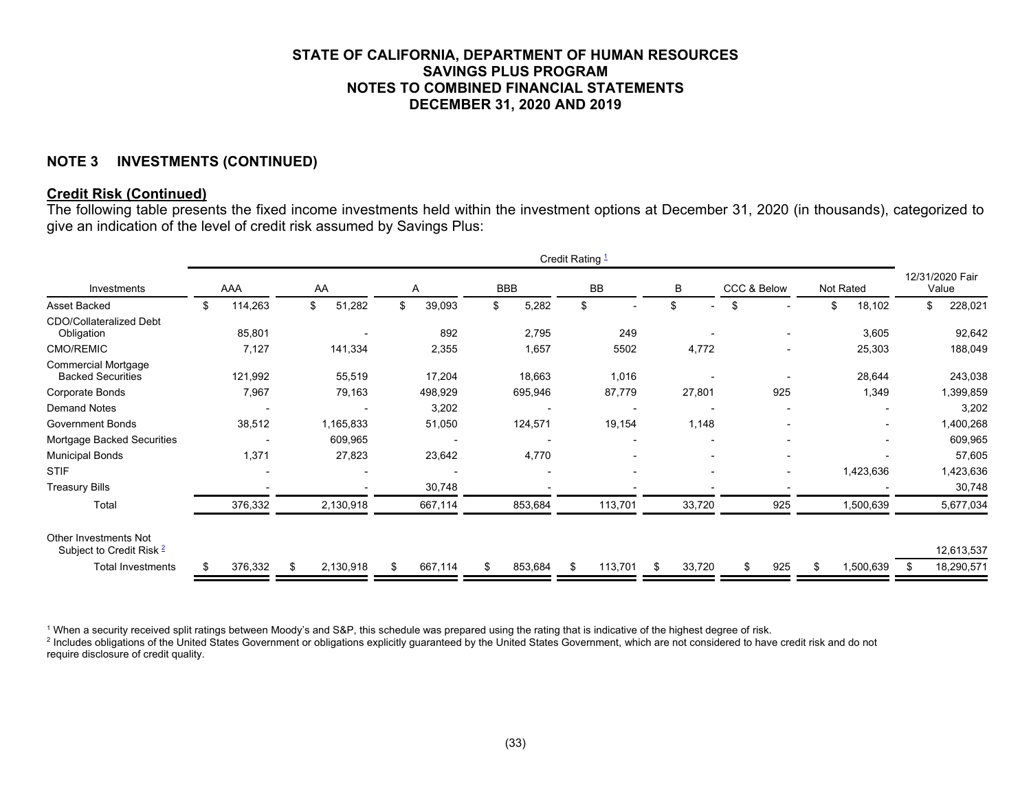## **NOTE 3 INVESTMENTS (CONTINUED)**

#### **Credit Risk (Continued)**

The following table presents the fixed income investments held within the investment options at December 31, 2020 (in thousands), categorized to give an indication of the level of credit risk assumed by Savings Plus:

| Investments                                                  |     | Credit Rating 1 |    |                          |    |         |    |            |    |           |  |        |             |                          |                          |    |                          |
|--------------------------------------------------------------|-----|-----------------|----|--------------------------|----|---------|----|------------|----|-----------|--|--------|-------------|--------------------------|--------------------------|----|--------------------------|
|                                                              | AAA |                 | AA |                          |    | Α       |    | <b>BBB</b> |    | <b>BB</b> |  | B      | CCC & Below |                          | Not Rated                |    | 12/31/2020 Fair<br>Value |
| Asset Backed                                                 | \$  | 114,263         |    | \$<br>51,282             | \$ | 39,093  | \$ | 5,282      | \$ |           |  | \$     | \$          |                          | \$<br>18,102             | \$ | 228,021                  |
| <b>CDO/Collateralized Debt</b><br>Obligation                 |     | 85,801          |    |                          |    | 892     |    | 2,795      |    | 249       |  |        |             |                          | 3,605                    |    | 92,642                   |
| <b>CMO/REMIC</b>                                             |     | 7,127           |    | 141,334                  |    | 2,355   |    | 1,657      |    | 5502      |  | 4,772  |             |                          | 25,303                   |    | 188,049                  |
| <b>Commercial Mortgage</b><br><b>Backed Securities</b>       |     | 121,992         |    | 55,519                   |    | 17,204  |    | 18,663     |    | 1,016     |  |        |             |                          | 28,644                   |    | 243,038                  |
| Corporate Bonds                                              |     | 7,967           |    | 79,163                   |    | 498,929 |    | 695,946    |    | 87,779    |  | 27,801 |             | 925                      | 1,349                    |    | 1,399,859                |
| <b>Demand Notes</b>                                          |     |                 |    | $\overline{\phantom{a}}$ |    | 3,202   |    |            |    |           |  |        |             |                          |                          |    | 3,202                    |
| Government Bonds                                             |     | 38,512          |    | 1,165,833                |    | 51,050  |    | 124,571    |    | 19,154    |  | 1,148  |             |                          | $\overline{\phantom{a}}$ |    | 1,400,268                |
| Mortgage Backed Securities                                   |     |                 |    | 609,965                  |    |         |    |            |    |           |  |        |             |                          |                          |    | 609,965                  |
| <b>Municipal Bonds</b>                                       |     | 1,371           |    | 27,823                   |    | 23,642  |    | 4,770      |    |           |  |        |             | $\overline{\phantom{0}}$ |                          |    | 57,605                   |
| <b>STIF</b>                                                  |     |                 |    |                          |    |         |    |            |    |           |  |        |             |                          | 1,423,636                |    | 1,423,636                |
| <b>Treasury Bills</b>                                        |     |                 |    |                          |    | 30,748  |    |            |    |           |  |        |             |                          |                          |    | 30,748                   |
| Total                                                        |     | 376,332         |    | 2,130,918                |    | 667,114 |    | 853,684    |    | 113,701   |  | 33,720 |             | 925                      | 1,500,639                |    | 5,677,034                |
| Other Investments Not<br>Subject to Credit Risk <sup>2</sup> |     |                 |    |                          |    |         |    |            |    |           |  |        |             |                          |                          |    | 12,613,537               |
| <b>Total Investments</b>                                     |     | 376,332         | \$ | 2,130,918                | £. | 667,114 |    | 853,684    |    | 113,701   |  | 33,720 |             | 925                      | \$<br>1,500,639          |    | 18,290,571               |
|                                                              |     |                 |    |                          |    |         |    |            |    |           |  |        |             |                          |                          |    |                          |

<span id="page-34-0"></span><sup>1</sup> When a security received split ratings between Moody's and S&P, this schedule was prepared using the rating that is indicative of the highest degree of risk.

<span id="page-34-1"></span><sup>2</sup> Includes obligations of the United States Government or obligations explicitly guaranteed by the United States Government, which are not considered to have credit risk and do not require disclosure of credit quality.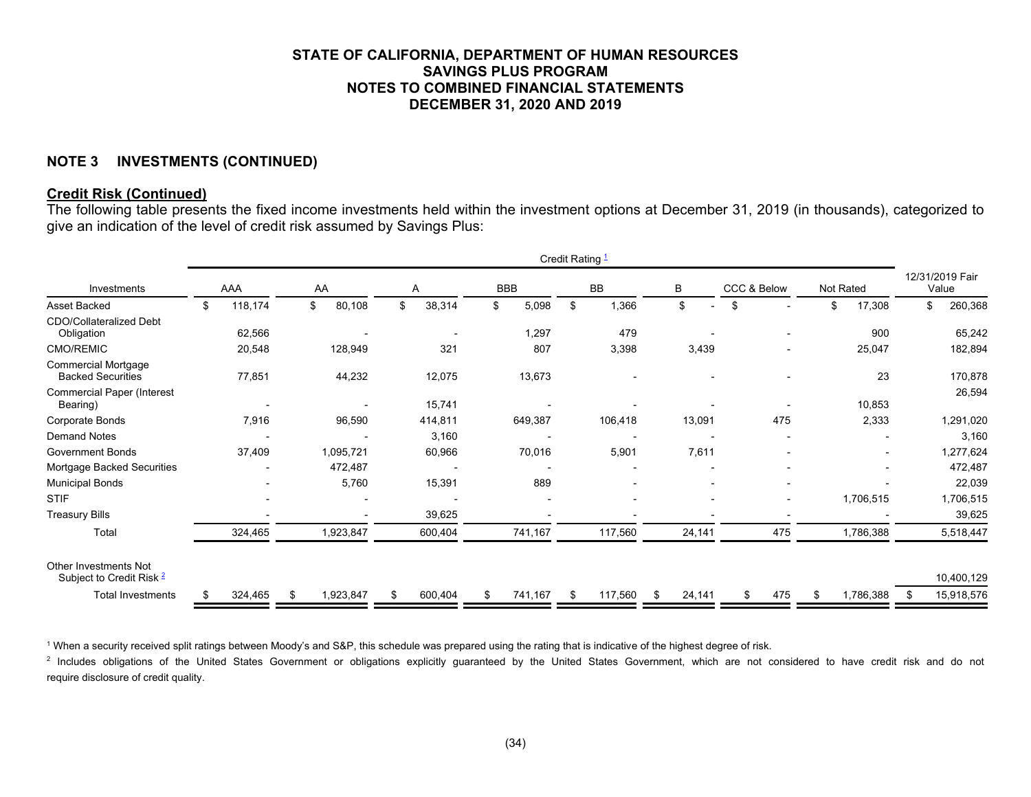## **NOTE 3 INVESTMENTS (CONTINUED)**

#### **Credit Risk (Continued)**

The following table presents the fixed income investments held within the investment options at December 31, 2019 (in thousands), categorized to give an indication of the level of credit risk assumed by Savings Plus:

| Investments                                                  |     |         | Credit Rating 1 |                          |    |                          |    |            |    |                          |  |        |             |     |           |                |                          |            |
|--------------------------------------------------------------|-----|---------|-----------------|--------------------------|----|--------------------------|----|------------|----|--------------------------|--|--------|-------------|-----|-----------|----------------|--------------------------|------------|
|                                                              | AAA |         | AA              |                          |    | A                        |    | <b>BBB</b> |    | BB                       |  | В      | CCC & Below |     | Not Rated |                | 12/31/2019 Fair<br>Value |            |
| Asset Backed                                                 | \$  | 118,174 |                 | \$<br>80,108             | \$ | 38,314                   | \$ | 5,098      | \$ | 1,366                    |  | \$     | \$          |     |           | \$<br>17,308   | \$                       | 260,368    |
| <b>CDO/Collateralized Debt</b><br>Obligation                 |     | 62,566  |                 | $\overline{\phantom{a}}$ |    | $\blacksquare$           |    | 1,297      |    | 479                      |  |        |             |     |           | 900            |                          | 65,242     |
| <b>CMO/REMIC</b>                                             |     | 20,548  |                 | 128,949                  |    | 321                      |    | 807        |    | 3,398                    |  | 3,439  |             |     |           | 25,047         |                          | 182,894    |
| <b>Commercial Mortgage</b><br><b>Backed Securities</b>       |     | 77,851  |                 | 44,232                   |    | 12,075                   |    | 13,673     |    |                          |  |        |             |     |           | 23             |                          | 170,878    |
| <b>Commercial Paper (Interest</b><br>Bearing)                |     |         |                 | $\overline{\phantom{a}}$ |    | 15,741                   |    |            |    |                          |  |        |             |     |           | 10,853         |                          | 26,594     |
| Corporate Bonds                                              |     | 7,916   |                 | 96,590                   |    | 414,811                  |    | 649,387    |    | 106,418                  |  | 13,091 |             | 475 |           | 2,333          |                          | 1,291,020  |
| <b>Demand Notes</b>                                          |     |         |                 |                          |    | 3,160                    |    |            |    |                          |  |        |             |     |           |                |                          | 3,160      |
| <b>Government Bonds</b>                                      |     | 37,409  |                 | 1,095,721                |    | 60,966                   |    | 70,016     |    | 5,901                    |  | 7,611  |             |     |           | $\overline{a}$ |                          | 1,277,624  |
| Mortgage Backed Securities                                   |     |         |                 | 472,487                  |    | $\blacksquare$           |    |            |    | $\overline{\phantom{0}}$ |  |        |             |     |           |                |                          | 472,487    |
| <b>Municipal Bonds</b>                                       |     |         |                 | 5,760                    |    | 15,391                   |    | 889        |    |                          |  |        |             |     |           |                |                          | 22,039     |
| <b>STIF</b>                                                  |     |         |                 | $\blacksquare$           |    | $\overline{\phantom{0}}$ |    |            |    |                          |  |        |             |     |           | 1,706,515      |                          | 1,706,515  |
| <b>Treasury Bills</b>                                        |     |         |                 | $\overline{\phantom{0}}$ |    | 39,625                   |    |            |    |                          |  |        |             |     |           |                |                          | 39,625     |
| Total                                                        |     | 324,465 |                 | 1,923,847                |    | 600,404                  |    | 741,167    |    | 117,560                  |  | 24,141 |             | 475 |           | 1,786,388      |                          | 5,518,447  |
| Other Investments Not<br>Subject to Credit Risk <sup>2</sup> |     |         |                 |                          |    |                          |    |            |    |                          |  |        |             |     |           |                |                          | 10,400,129 |
| <b>Total Investments</b>                                     |     | 324,465 | .ፍ              | 1,923,847                |    | 600,404                  | Я. | 741,167    |    | 117,560                  |  | 24,141 | \$          | 475 | \$        | 1,786,388      |                          | 15,918,576 |

<span id="page-35-0"></span><sup>1</sup> When a security received split ratings between Moody's and S&P, this schedule was prepared using the rating that is indicative of the highest degree of risk.

<span id="page-35-1"></span><sup>2</sup> Includes obligations of the United States Government or obligations explicitly guaranteed by the United States Government, which are not considered to have credit risk and do not require disclosure of credit quality.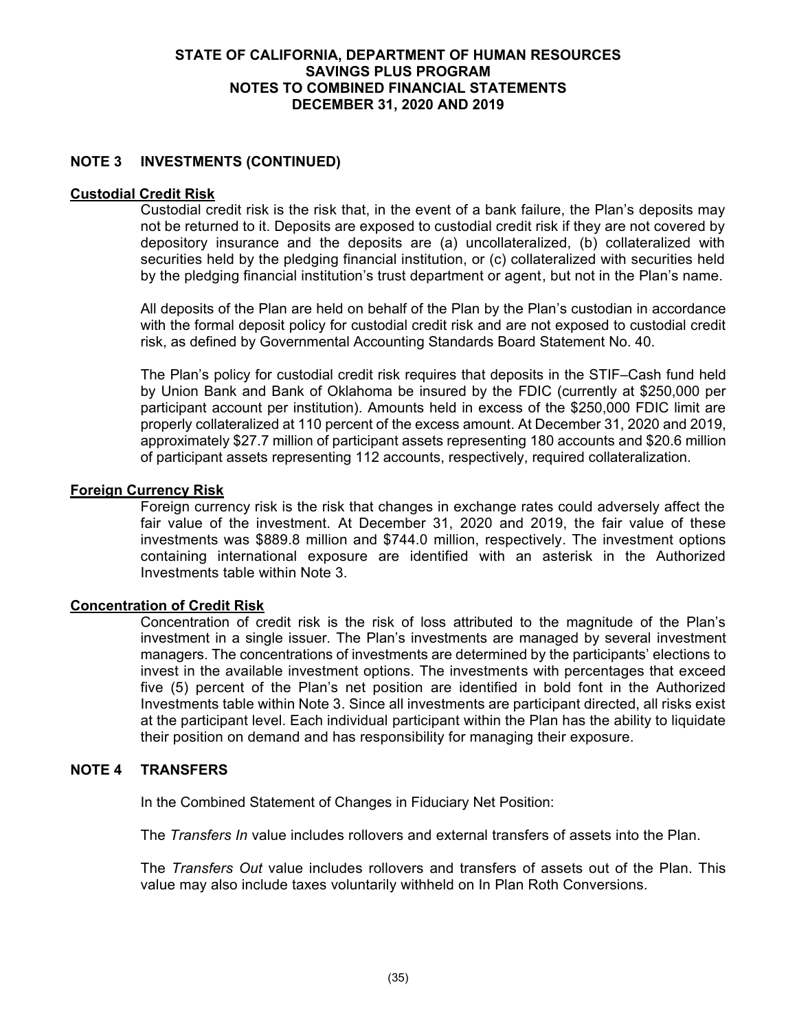# **NOTE 3 INVESTMENTS (CONTINUED)**

### **Custodial Credit Risk**

Custodial credit risk is the risk that, in the event of a bank failure, the Plan's deposits may not be returned to it. Deposits are exposed to custodial credit risk if they are not covered by depository insurance and the deposits are (a) uncollateralized, (b) collateralized with securities held by the pledging financial institution, or (c) collateralized with securities held by the pledging financial institution's trust department or agent, but not in the Plan's name.

All deposits of the Plan are held on behalf of the Plan by the Plan's custodian in accordance with the formal deposit policy for custodial credit risk and are not exposed to custodial credit risk, as defined by Governmental Accounting Standards Board Statement No. 40.

The Plan's policy for custodial credit risk requires that deposits in the STIF–Cash fund held by Union Bank and Bank of Oklahoma be insured by the FDIC (currently at \$250,000 per participant account per institution). Amounts held in excess of the \$250,000 FDIC limit are properly collateralized at 110 percent of the excess amount. At December 31, 2020 and 2019, approximately \$27.7 million of participant assets representing 180 accounts and \$20.6 million of participant assets representing 112 accounts, respectively, required collateralization.

### **Foreign Currency Risk**

Foreign currency risk is the risk that changes in exchange rates could adversely affect the fair value of the investment. At December 31, 2020 and 2019, the fair value of these investments was \$889.8 million and \$744.0 million, respectively. The investment options containing international exposure are identified with an asterisk in the Authorized Investments table within Note 3.

### **Concentration of Credit Risk**

Concentration of credit risk is the risk of loss attributed to the magnitude of the Plan's investment in a single issuer. The Plan's investments are managed by several investment managers. The concentrations of investments are determined by the participants' elections to invest in the available investment options. The investments with percentages that exceed five (5) percent of the Plan's net position are identified in bold font in the Authorized Investments table within Note 3. Since all investments are participant directed, all risks exist at the participant level. Each individual participant within the Plan has the ability to liquidate their position on demand and has responsibility for managing their exposure.

### **NOTE 4 TRANSFERS**

In the Combined Statement of Changes in Fiduciary Net Position:

The *Transfers In* value includes rollovers and external transfers of assets into the Plan.

The *Transfers Out* value includes rollovers and transfers of assets out of the Plan. This value may also include taxes voluntarily withheld on In Plan Roth Conversions.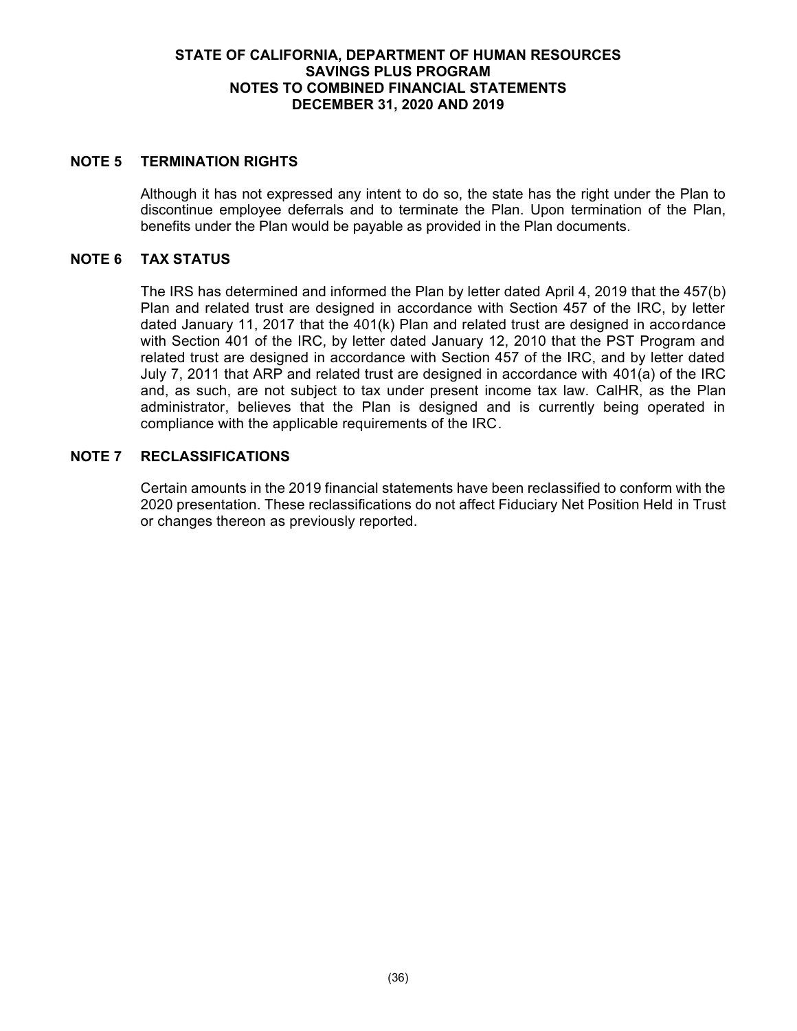### **NOTE 5 TERMINATION RIGHTS**

Although it has not expressed any intent to do so, the state has the right under the Plan to discontinue employee deferrals and to terminate the Plan. Upon termination of the Plan, benefits under the Plan would be payable as provided in the Plan documents.

## **NOTE 6 TAX STATUS**

The IRS has determined and informed the Plan by letter dated April 4, 2019 that the 457(b) Plan and related trust are designed in accordance with Section 457 of the IRC, by letter dated January 11, 2017 that the 401(k) Plan and related trust are designed in accordance with Section 401 of the IRC, by letter dated January 12, 2010 that the PST Program and related trust are designed in accordance with Section 457 of the IRC, and by letter dated July 7, 2011 that ARP and related trust are designed in accordance with 401(a) of the IRC and, as such, are not subject to tax under present income tax law. CalHR, as the Plan administrator, believes that the Plan is designed and is currently being operated in compliance with the applicable requirements of the IRC.

#### **NOTE 7 RECLASSIFICATIONS**

Certain amounts in the 2019 financial statements have been reclassified to conform with the 2020 presentation. These reclassifications do not affect Fiduciary Net Position Held in Trust or changes thereon as previously reported.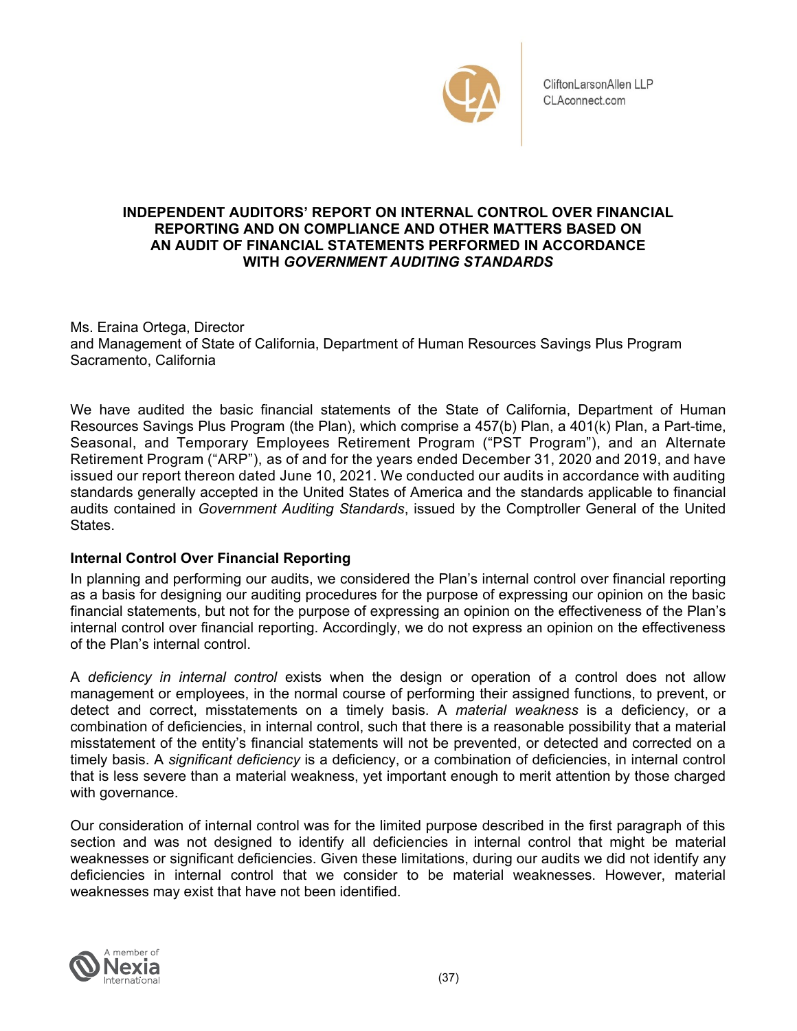

CliftonLarsonAllen LLP CLAconnect.com

# <span id="page-38-0"></span>**INDEPENDENT AUDITORS' REPORT ON INTERNAL CONTROL OVER FINANCIAL REPORTING AND ON COMPLIANCE AND OTHER MATTERS BASED ON AN AUDIT OF FINANCIAL STATEMENTS PERFORMED IN ACCORDANCE WITH** *GOVERNMENT AUDITING STANDARDS*

## Ms. Eraina Ortega, Director and Management of State of California, Department of Human Resources Savings Plus Program Sacramento, California

We have audited the basic financial statements of the State of California, Department of Human Resources Savings Plus Program (the Plan), which comprise a 457(b) Plan, a 401(k) Plan, a Part-time, Seasonal, and Temporary Employees Retirement Program ("PST Program"), and an Alternate Retirement Program ("ARP"), as of and for the years ended December 31, 2020 and 2019, and have issued our report thereon dated June 10, 2021. We conducted our audits in accordance with auditing standards generally accepted in the United States of America and the standards applicable to financial audits contained in *Government Auditing Standards*, issued by the Comptroller General of the United States.

# **Internal Control Over Financial Reporting**

In planning and performing our audits, we considered the Plan's internal control over financial reporting as a basis for designing our auditing procedures for the purpose of expressing our opinion on the basic financial statements, but not for the purpose of expressing an opinion on the effectiveness of the Plan's internal control over financial reporting. Accordingly, we do not express an opinion on the effectiveness of the Plan's internal control.

A *deficiency in internal control* exists when the design or operation of a control does not allow management or employees, in the normal course of performing their assigned functions, to prevent, or detect and correct, misstatements on a timely basis. A *material weakness* is a deficiency, or a combination of deficiencies, in internal control, such that there is a reasonable possibility that a material misstatement of the entity's financial statements will not be prevented, or detected and corrected on a timely basis. A *significant deficiency* is a deficiency, or a combination of deficiencies, in internal control that is less severe than a material weakness, yet important enough to merit attention by those charged with governance.

Our consideration of internal control was for the limited purpose described in the first paragraph of this section and was not designed to identify all deficiencies in internal control that might be material weaknesses or significant deficiencies. Given these limitations, during our audits we did not identify any deficiencies in internal control that we consider to be material weaknesses. However, material weaknesses may exist that have not been identified.